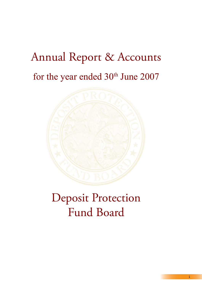# Annual Report & Accounts for the year ended 30<sup>th</sup> June 2007



# Deposit Protection Fund Board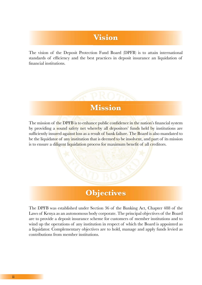## **Vision**

The vision of the Deposit Protection Fund Board (DPFB) is to attain international standards of efficiency and the best practices in deposit insurance an liquidation of financial institutions.



The mission of the DPFB is to enhance public confidence in the nation's financial system by providing a sound safety net whereby all depositors' funds held by institutions are sufficiently insured against loss as a result of bank failure. The Board is also mandated to be the liquidator of any institution that is deemed to be insolvent, and part of its mission is to ensure a diligent liquidation process for maximum benefit of all creditors.

## **Objectives**

The DPFB was established under Section 36 of the Banking Act, Chapter 488 of the Laws of Kenya as an autonomous body corporate. The principal objectives of the Board are to provide a deposit insurance scheme for customers of member institutions and to wind up the operations of any institution in respect of which the Board is appointed as a liquidator. Complementary objectives are to hold, manage and apply funds levied as contributions from member institutions.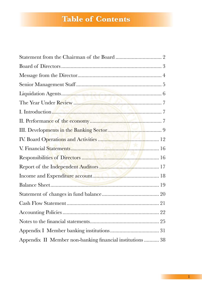# **Table of Contents**

| Appendix II Member non-banking financial institutions  38 |
|-----------------------------------------------------------|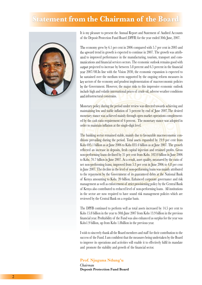## **Statement from the Chairman of the Board**



It is my pleasure to present the Annual Report and Statement of Audited Accounts of the Deposit Protection Fund Board (DPFB) for the year ended 30th June, 2007.

The economy grew by 6.1 per cent in 2006 compared with 5.7 per cent in 2005 and the upward trend in growth is expected to continue in 2007. The growth was attributed to improved performance in the manufacturing, tourism, transport and communications and financial services sectors. The economic outlook remains good with output projected to increase by between 5.8 percent and 6.5 percent in the financial year 2007/08.In line with the Vision 2030, the economic expansion is expected to be sustained over the medium term supported by the ongoing reform measures in key sectors of the economy and prudent implementation of macroeconomic policies by the Government. However, the major risks to this impressive economic outlook include high and volatile international prices of crude oil, adverse weather conditions and infrastructural constrains.

Monetary policy during the period under review was directed towards achieving and maintaining low and stable inflation of 5 percent by end of June 2007. The desired monetary stance was achieved mainly through open market operations complemented by the cash ratio requirement of 6 percent. The monetary stance was adopted in order to maintain inflation at the single-digit level.

The banking sector remained stable, mainly due to favourable macroeconomic conditions prevailing during the period. Total assets expanded by 19.9 per cent from Kshs 695.1 billion as at June 2006 to Kshs 833.4 billion as at June 2007. The growth reflected an increase in deposits, fresh capital injection and retained profits. Gross non-performing loans declined by 31 per cent from Kshs. 102.0 billion in June 2006 to Kshs. 70.7 billion in June 2007. As a result, asset quality, measured by the ratio of net non-performing loans, improved from 5.3 per cent in June 2006 to 4.8 per cent in June 2007. The decline in the level of non-performing loans was mainly attributed to the repayment by the Government of its guaranteed debts at the National Bank of Kenya amounting to Kshs. 20 billion. Enhanced corporate governance and risk management as well as enforcement of strict provisioning policy by the Central Bank of Kenya also contributed to reduced level of non-performing loans. All institutions in the sector are now required to have sound risk management policies which are reviewed by the Central Bank on a regular basis.

The DPFB continued to perform well as total assets increased by 14.5 per cent to Kshs 15.8 billion in the year to 30th June 2007 from Kshs 13.9 billion in the previous financial year. Profitability of the Fund was also enhanced as surplus for the year was Kshs1.9 billion, up from Kshs 1.8billion in the previous year.

I wish to sincerely thank all the Board members and staff for their contribution to the success of the Fund. I am confident that the measures being undertaken by the Board to improve its operations and activities will enable it to effectively fulfil its mandate and promote the stability and growth of the financial sector.

#### **Prof. Njuguna Ndung'u**

Chairman **Deposit Protection Fund Board**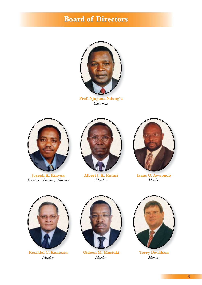# **Board of Directors**



**Prof. Njuguna Ndung'u** Chairman



**Joseph K. Kinyua** *Permanent Secretary Treasury*



**Albert J. K. Ruturi** *Member*



**Isaac O. Awuondo** *Member*



**Rasiklal C. Kantaria** *Member*



**Gideon M. Muriuki**  *Member*



**Terry Davidson** *Member*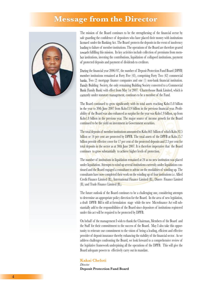### **Message from the Director**



The mission of the Board continues to be the strengthening of the financial sector by safe guarding the confidence of depositors who have placed their money with institutions licensed under the Banking Act. The Board protects the deposits in the event of insolvency leading to failure of member institutions. The operations of the Board are therefore geared towards fulfilling this mission. Its key activities include collection of premiums from member institutions, investing the contributions, liquidation of collapsed institutions, payment of protected deposits and payment of dividends to creditors.

During the financial year 2006/07, the number of Deposit Protection Fund Board (DPFB) member institutions remained at Forty Five (45), comprising Forty Two (42) commercial banks, Two  $(2)$  mortgage finance companies and one  $(1)$  non-bank financial institution. Family Building Society, the only remaining Building Society converted to a Commercial Bank (Family Bank) with effect from May 1st 2007. Charterhouse Bank Limited, which is currently under statutory management, continues to be a member of the Fund.

The Board continued to grow significantly with its total assets reaching Kshs15.8 billion in the year to 30th June 2007 from Kshs13.9 billion in the previous financial year. Profitability of the Board was also enhanced as surplus for the year was Kshs1.9 billion, up from Kshs1.8 billion in the previous year. The major source of income growth for the Board continued to be the yield on investment in Government securities.

The total deposits of member institutions amounted to Kshs.663 billion of which Kshs.92.5 billion or 14 per cent are protected by DPFB. The total assets of the DPFB at Kshs.15.7 billion provide effective cover for 17 per cent of the protected deposits and 2.3 per cent for total deposits in the sector as at 30th June 2007. It is therefore imperative that the Board continues to grow substantially to achieve higher levels of protection.

The number of institutions in liquidation remained at 24 as no new institution was placed under liquidation. Attempts to wind up several institutions currently under liquidation continued and the Board engaged a consultant to advise on the modalities of winding up. The consultants have now completed their work on the winding up of four institutions i.e. Allied Credit Finance Limited (IL), International Finance Limited (IL), Diners Finance Limited (IL) and Trade Finance Limited (IL).

The future outlook of the Board continues to be a challenging one, considering attempts to determine an appropriate policy direction for the Board. In the area of new legislation, a draft DPFB Bill is still at formulation stage while the new Microfinance Act will substantially add to the responsibilities of the Board since depositors of institutions registered under this act will be required to be protected by DPFB.

On behalf of the management I wish to thank the Chairman, Members of the Board and the Staff for their committment to the success of the Board. May I also take this opportunity to reiterate our commitment to the vision of being a leading, efficient and effective provider of deposit insurance thereby enhancing the stability of the financial sector. As we address challenges confronting the Board, we look forward to a comprehensive review of the legislative framework underpining all the operations of the DPFB. This will give the Board adequate powers to effectively carry out its mandate.

#### **Kakai Cheloti**

*Director* **Deposit Protection Fund Board**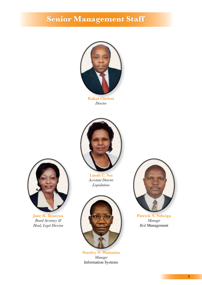# **Senior Management Staff**



**Kakai Cheloti** *Director*



**Jane K. Ikunyua** *Board Secretary & Head, Legal Division*



**Linah C. Soi**  *Assistant Director Liquidations*



**Stanley N. Wainaina**  *Manager* Information Systems



**Patrick N. Ndwiga** *Manager Risk* Management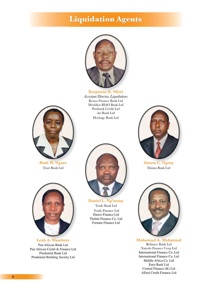# **Liquidation Agents**



**Benjamin K. Mitei** *Assistant Director, Liquidations* Kenya Finance Bank Ltd Meridien BIAO Bank Ltd Postbank Credit Ltd Ari Bank Ltd Heritage Bank Ltd



**Ruth W. Ngure** Trust Bank Ltd



**Leah A. Wambete** Pan African Bank Ltd Pan African Credit & Finance Ltd Prudential Bank Ltd Prudential Building Society Ltd



**Daniel L. Ng'atuny**  Trade Bank Ltd Trade Finance Ltd Diners Finance Ltd Thabiti Finance Co. Ltd Fortune Finance Ltd



**Simon C. Ngeny** Daima Bank Ltd



**Mohamud A. Mohamud**  Reliance Bank Ltd Nairobi Finance Corp Ltd International Finance Co. Ltd International Finance Co. Ltd Middle Africa Co. Ltd Euro Bank Ltd Central Finance (K) Ltd Allied Credit Finance Ltd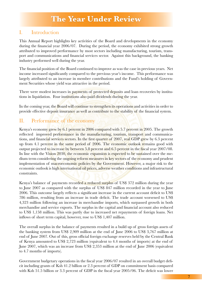#### I. Introduction

This Annual Report highlights key activities of the Board and developments in the economy during the financial year 2006/07. During the period, the economy exhibited strong growth attributed to improved performance by most sectors including manufacturing, tourism, transport and communications and financial services sector. Against this background, the banking industry performed well during the year.

The financial position of the Board continued to improve as was the case in previous years. Net income increased significantly compared to the previous year's income. This performance was largely attributed to an increase in member contributions and the Fund's holding of Government Securities whose yield was attractive in the period.

There were modest increases in payments of protected deposits and loan recoveries by institutions in liquidation. Four institutions also paid dividends during the year.

In the coming year, the **Board will continue to strengthen its operations** and activities in order to provide effective deposit insurance as well as contribute to the stability of the financial system.

#### II. Performance of the economy

Kenya's economy grew by 6.1 percent in 2006 compared with 5.7 percent in 2005. The growth reflected improved performance in the manufacturing, tourism, transport and communications, and financial services sectors. In the first quarter of 2007, real GDP grew by 6.3 percent up from 4.1 percent in the same period of 2006. The economic outlook remains good with output projected to increase by between 5.8 percent and 6.5 percent in the fiscal year 2007/08. In line with the Vision 2030, the economic expansion is expected to be sustained over the medium term considering the ongoing reform measures in key sectors of the economy and prudent implementation of macroeconomic policies by the Government. However, a major risk to the economic outlook is high international oil prices, adverse weather conditions and infrastructural constraints.

Kenya's balance of payments recorded a reduced surplus of US\$ 372 million during the year to June 2007 as compared with the surplus of US\$ 847 million recorded in the year to June 2006. This outcome largely reflects a significant increase in the current account deficit to US\$ 786 million, resulting from an increase in trade deficit. The trade account worsened to US\$ 4,323 million following an increase in merchandise imports, which surpassed growth in both merchandise and service exports. The surplus in the capital and financial account also reduced to US\$ 1,158 million. This was partly due to increased net repayments of foreign loans. Net inflows of short term capital, however, rose to US\$ 1,407 million.

The overall surplus in the balance of payments resulted in a build up of gross foreign assets of the banking system from US\$ 2,909 million at the end of June 2006 to US\$ 3,767 million at end of June 2007. Out of this, gross official foreign exchange reserves held by the Central Bank of Kenya amounted to US\$ 2,723 million (equivalent to 4.4 months of imports) at the end of June 2007, which was an increase from US\$ 2,353 million at the end of June 2006 (equivalent to 4.7 months of imports).

Government budgetary operations in the fiscal year 2006/07 resulted in an overall budget deficit including grants of Ksh 41.2 billion or 2.3 percent of GDP on commitment basis compared with Ksh 51.5 billion or 3.3 percent of GDP in the fiscal year 2005/06. The deficit was lower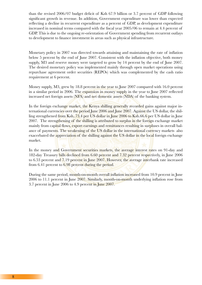than the revised 2006/07 budget deficit of Ksh 67.9 billion or 3.7 percent of GDP following significant growth in revenue. In addition, Government expenditure was lower than expected reflecting a decline in recurrent expenditure as a percent of GDP, as development expenditure increased in nominal terms compared with the fiscal year 2005/06 to remain at 4.4 percent of GDP. This is due to the ongoing re-orientation of Government spending from recurrent outlays to development to finance investment in areas such as physical infrastructure.

Monetary policy in 2007 was directed towards attaining and maintaining the rate of inflation below 5 percent by the end of June 2007. Consistent with the inflation objective, both money supply, M3 and reserve money were targeted to grow by 14 percent by the end of June 2007. The desired monetary policy was implemented mainly through open market operations using repurchase agreement order securities (REPOs) which was complemented by the cash ratio requirement at 6 percent.

Money supply, M3, grew by 18.8 percent in the year to June 2007 compared with 16.0 percent in a similar period in 2006. The expansion in money supply in the year to June 2007 reflected increased net foreign assets (NFA) and net domestic assets (NDA) of the banking system.

In the foreign exchange market, the Kenya shilling generally recorded gains against major international currencies over the period June 2006 and June 2007. Against the US dollar, the shilling strengthened from Ksh..73.4 per US dollar in June 2006 to Ksh.66.6 per US dollar in June 2007. The strengthening of the shilling is attributed to surplus in the foreign exchange market mainly from capital flows, export earnings and remittances resulting in surpluses in overall balance of payments. The weakening of the US dollar in the international currency markets also exacerbated the appreciation of the shilling against the US dollar in the local foreign exchange market.

In the money and Government securities markets, the average interest rates on 91-day and 182-day Treasury bills declined from 6.60 percent and 7.32 percent respectively, in June 2006 to 6.53 percent and 7.19 percent in June 2007. However, the average interbank rate increased from 6.41 percent to 6.98 percent during the period.

During the same period, month-on-month overall inflation increased from 10.9 percent in June 2006 to 11.1 percent in June 2007. Similarly, month-on-month underlying inflation rose from 3.7 percent in June 2006 to 4.9 percent in June 2007.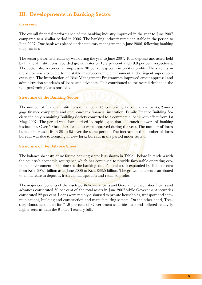#### **III. Developments in Banking Sector**

#### **Overview**

The overall financial performance of the banking industry improved in the year to June 2007 compared to a similar period in 2006. The banking industry remained stable in the period to June 2007. One bank was placed under statutory management in June 2006, following banking malpractices.

The sector performed relatively well during the year to June 2007. Total deposits and assets held by financial institutions recorded growth rates of 18.9 per cent and 19.9 per cent respectively. The sector also recorded an impressive 30 per cent growth in pre-tax profits. The stability in the sector was attributed to the stable macroeconomic environment and stringent supervisory oversight. The introduction of Risk Management Programmes improved credit appraisal and administration standards of loans and advances. This contributed to the overall decline in the non-performing loans portfolio.

#### **Structure of the Banking Sector**

The number of financial institutions remained at 45, comprising 42 commercial banks, 2 mortgage finance companies and one non-bank financial institution. Family Finance Building Society, the only remaining Building Society converted to a commercial bank with effect from 1st May, 2007. The period was characterised by rapid expansion of branch network of banking institutions. Over 50 branches for banks were approved during the year. The number of forex bureaus increased from 89 to 95 over the same period. The increase in the number of forex bureaus was due to licensing of new forex bureaus in the period under review.

#### **Structure of the Balance Sheet**

The balance sheet structure for the banking sector is as shown in Table 1 below. In tandem with the country's economic resurgence which has continued to provide favourable operating economic environment for businesses, the banking sector's total assets expanded by 19.9 per cent from Ksh. 695.1 billion as at June 2006 to Ksh. 833.5 billion. The growth in assets is attributed to an increase in deposits, fresh capital injection and retained profits.

The major components of the assets portfolio were loans and Government securities. Loans and advances constituted 50 per cent of the total assets in June 2007 while Government securities constituted 22 per cent. Loans were mainly disbursed to private households, transport and communications, building and construction and manufacturing sectors. On the other hand, Treasury Bonds accounted for 71.9 per cent of Government securities as Bonds offered relatively higher returns than the 91-day Treasury bills.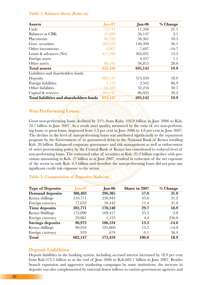| <b>Assets</b>                                   | $J$ un-07 | $J$ un-06 | % Change |
|-------------------------------------------------|-----------|-----------|----------|
| Cash                                            | 13,744    | 11,346    | 21.1     |
| <b>Balances at CBK</b>                          | 57,890    | 56,147    | 3.1      |
| Placements                                      | 80,249    | 50,361    | 59.3     |
| Govt. securities                                | 184,522   | 146,309   | 26.1     |
| Other investments                               | 6,867     | 7,697     | $-10.7$  |
| Loans & advances (Net)                          | 417,498   | 362,031   | 15.3     |
| Foreign assets                                  | 4,484     | 4,437     | 1.1      |
| Other assets                                    | 68,193    | 56,815    | 20.0     |
| <b>Total assets</b>                             | 833,448   | 695,142   | 19.9     |
| Liabilities and shareholders funds              |           |           |          |
| Deposits                                        | 682,147   | 573,459   | 18.9     |
| Foreign liabilities                             | 4,753     | 2,542     | 86.9     |
| Other liabilities                               | 42,102    | 32,216    | 30.7     |
| Capital & reserves                              | 104,445   | 86,925    | 20.2     |
| <b>Total liabilities and shareholders funds</b> | 833,447   | 695,142   | 19.9     |

#### **Table 1: Balance Sheet (Kshs m)**

#### **Non-Performing Loans**

Gross non-performing loans declined by 31% from Kshs. 102.0 billion in June 2006 to Ksh. 70.7 billion in June 2007. As a result asset quality, measured by the ratio of net non-performing loans to gross loans, improved from 5.3 per cent in June 2006 to 4.8 per cent in June 2007. The decline in the level of non-performing loans was attributed significantly to the repayment program by the Government of its guaranteed debts to the National Bank of Kenya totalling Ksh. 20 billion. Enhanced corporate governance and risk management as well as enforcement of strict provisioning policy by the Central Bank of Kenya has contributed to reduced level of non-performing loans. The estimated value of securities at Ksh. 22.2 billion together with provisions amounting to Ksh. 27 billion as at June 2007, resulted in reduction of the net exposure of the sector to only Ksh. 0.5 billion and therefore the non-performing loans did not pose any significant credit risk exposure to the sector.

| <b>Type of Deposits</b> | $J$ un-07 | $\sigma$ Jun-06 | Share in 2007 | % Change |
|-------------------------|-----------|-----------------|---------------|----------|
| <b>Demand deposits</b>  | 388,403   | 296,385         | 57.0          | 31.0     |
| Kenya shillings         | 310,771   | 236,943         | 45.6          | 31.2     |
| Foreign currency        | 77,632    | 59,442          | 11.4          | 31.0     |
| Time deposits           | 202,771   | 170,540         | 29.7          | 18.9     |
| Kenya Shillings         | 172,890   | 169,417         | 25.3          | 2.0      |
| Foreign currency        | 29,881    | 1,123           | 4.4           | 256.0    |
| Savings deposits        | 90,973    | 106,534         | 13.3          | $-14.6$  |
| Kenya shillings         | 90,054    | 105,860         | 13.2          | $-14.9$  |
| Foreign currency        | 919       | 674             | 0.1           | 36.4     |
| <b>Total</b>            | 682,147   | 573,459         | 100.0         | 18.9     |

#### **Table 2: Composition of Deposits (Kshs m)**

#### **Deposit Liabilities**

Deposit liabilities in the banking system, including accrued interest increased by 18.9 per cent from Ksh.573.5 billion as at the end of June 2006 to Ksh.682.1 billion in June 2007. Besides branch expansion and aggressive marketing campaigns by some institutions, the increase in deposits was also complemented by external donor inflows to various government agencies and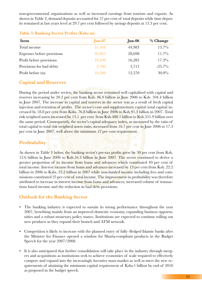non-governmental organizations as well as increased earnings from tourism and exports. As shown in Table 2, demand deposits accounted for 57 per cent of total deposits while time deposits remained at last years level at 29.7 per cent followed by savings deposits at 13.3 per cent.

| $J$ un-07 | $\int$ Jun-06 | $%$ Change |
|-----------|---------------|------------|
| 51,164    | 44,983        | $13.7\%$   |
| 32,055    | 28,698        | $11.7\%$   |
| 19,109    | 16,285        | $17.3\%$   |
| 2,760     | 3,715         | $-25.7\%$  |
| 16,349    | 12,570        | $30.0\%$   |
|           |               |            |

#### **Table 3: Banking Sector Profits (Kshs m)**

#### **Capital and Reserves**

During the period under review, the banking sector remained well capitalised with capital and reserves increasing by 20.2 per cent from Ksh. 86.9 billion in June 2006 to Ksh. 104.4 billion in June 2007. The increase in capital and reserves in the sector was as a result of fresh capital injection and retention of profits. The sector's core and supplementary capital (total capital) increased by 18.8 per cent from Kshs. 76.8 billion in June 2006 to Ksh.91.3 billion in 2007. Total risk weighted assets increased by 13.1 per cent from Ksh.488.1 billion to Ksh.551.9 billion over the same period. Consequently, the sector's capital adequacy index, as measured by the ratio of total capital to total risk weighted assets ratio, increased from 16.7 per cent in June 2006 to 17.3 per cent in June 2007, well above the minimum 12 per cent requirement.

#### **Profitability**

As shown in Table 3 below, the banking sector's pre-tax profits grew by 30 per cent from Ksh. 12.6 billion in June 2006 to Ksh.16.3 billion in June 2007. The sector continued to derive a greater proportion of its income from loans and advances which constituted 49 per cent of total income. Interest income from loans and advances increased by 13 per cent from Ksh. 22.2 billion in 2006 to Kshs. 25.2 billion in 2007 while non-funded income including fees and commissions constituted 25 per cent of total income. The improvement in profitability was therefore attributed to increase in interest income from loans and advances, increased volume of transactions based income and the reduction in bad debt provisions.

#### **Outlook for the Banking Sector**

- The banking industry is expected to sustain its strong performance throughout the year 2007, benefiting mainly from an improved domestic economy, expanding business opportunities and a robust monetary policy stance. Institutions are expected to continue rolling out new products as they expand their branch and ATM network.
- Competition is likely to increase with the planned entry of fully–fledged Islamic banks after the Minister for Finance opened a window for Sharia-compliant products in the Budget Speech for the year 2007/2008.
- It is also anticipated that further consolidation will take place in the industry through mergers and acquisitions as institutions seek to achieve economies of scale required to effectively compete and expand into the increasingly lucrative mass market as well as meet the new requirements of attaining the minimum capital requirement of Kshs.1 billion by end of 2010 as proposed in the budget speech.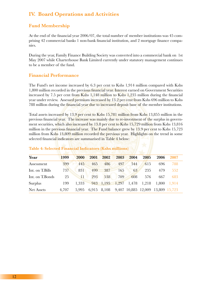#### **IV. Board Operations and Activities**

#### **Fund Membership**

At the end of the financial year 2006/07, the total number of member institutions was 45 comprising 42 commercial banks 1 non-bank financial institution, and 2 mortgage finance companies.

During the year, Family Finance Building Society was converted into a commercial bank on 1st May 2007 while Charterhouse Bank Limited currently under statutory management continues to be a member of the fund.

#### **Financial Performance**

The Fund's net income increased by 6.3 per cent to Kshs 1,914 million compared with Kshs 1,800 million recorded in the previous financial year. Interest earned on Government Securities increased by 7.5 per cent from Kshs 1,148 million to Kshs 1,235 million during the financial year under review. Assessed premium increased by 13.2 per cent from Kshs 696 million to Kshs 788 million during the financial year due to increased deposit base of the member institutions.

Total assets increased by 13.9 per cent to Kshs 15,781 million from Kshs 13,855 million in the previous financial year. The increase was mainly due to re-investment of the surplus in government securities, which also increased by 13.8 per cent to Kshs 15,729 million from Kshs 13,816 million in the previous financial year. The Fund balance grew by 13.9 per cent to Kshs 15,723 million from Kshs 13,809 million recorded the previous year. Highlights on the trend in some selected financial indicators are summarised in Table 4 below:

| Year              | 1999  | <b>2000</b> | 2001  | 2002  | 2003  | 2004   | 2005   | 2006          | 2007  |
|-------------------|-------|-------------|-------|-------|-------|--------|--------|---------------|-------|
| Assessment        | 399   | 445         | 465   | 486   | 497   | 544    | 615    | 696           | 788   |
| Int. on T.Bills   | 737   | 831         | 499   | 387   | 165   | 63     | 235    | 479           | 552   |
| Int. on T.Bonds   | 25    | 11          | 293   | 538   | 709   | 608    | 576    | 667           | 683   |
| Surplus           | 199   | 1,333       | 943   | 1,195 | 1,297 | 1,478  | 1,218  | 1,800         | 1.914 |
| <b>Net Assets</b> | 4,707 | 5,995       | 6,915 | 8,108 | 9,407 | 10,885 | 12,009 | 13,809 15,723 |       |

#### **Table 4: Selected Financial Indicators (Kshs millions)**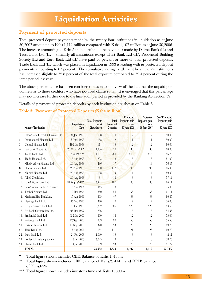## **Liquidation Activities**

#### **Payment of protected deposits**

Total protected deposit payments made by the twenty four institutions in liquidation as at June 30,2007 amounted to Kshs.1,112 million compared with Kshs.1,107 million as at June 30,2006. The increase amounting to Kshs.5 million refers to the payments made by Daima Bank (IL) and Trust Bank Ltd (IL). Similarly all institutions except Trust Bank Ltd (IL), Prudential Building Society (IL) and Euro Bank Ltd (IL) have paid 50 percent or more of their protected deposits. Trade Bank Ltd (IL) which was placed in liquidation in 1993 is leading with its protected deposit payments amounting to 87 percent. The cumulative average settlement by all the 24 institutions has increased slightly to 72.8 percent of the total exposure compared to 72.4 percent during the same period last year.

The above performance has been considered reasonable in view of the fact that the unpaid portion relates to those creditors who have not filed claims so far. It is envisaged that this percentage may not increase further due to the limitation period as provided by the Banking Act section 39.

Details of payment of protected deposits by each institution are shown on Table 5.

#### **Table 5: Payment of Protected Deposits (Kshs million)**

|     | Name of Institution                 | Liquidation<br>Date | <b>Total Deposits</b><br>as at<br>Liquidation | Total<br>Protected<br><b>Deposits</b> | Protected<br>Deposits paid<br>as at<br>30 June 2006 | Protected<br>Deposits paid<br>as at<br>30 June 2007 | % of Protected<br>Deposits paid<br>as at<br>30 June 2007 |
|-----|-------------------------------------|---------------------|-----------------------------------------------|---------------------------------------|-----------------------------------------------------|-----------------------------------------------------|----------------------------------------------------------|
| 1.  | Inter-Africa C.redit & Finance Ltd. | 31 Jan. 1993        | 138                                           | $\overline{4}$                        | $\overline{2}$                                      | $\overline{2}$                                      | 50.00                                                    |
| 2.  | International Finance Ltd.          | 16 April 1993       | 168                                           | $\overline{2}$                        |                                                     | 1                                                   | 50.00                                                    |
| 3.  | Central Finance Ltd.                | 19 May 1993         | 111                                           | 15                                    | 12                                                  | 12                                                  | 80.00                                                    |
| 4.  | Post bank Credit Ltd.               | 20 May 1993 *       | 3,834                                         | 50                                    | 30                                                  | 30                                                  | 60.00                                                    |
| 5.  | Trade Bank Ltd                      | 18 Aug 1993 **      | 4,181                                         | 280                                   | 243                                                 | 243                                                 | 86.79                                                    |
| 6.  | Trade Finance Ltd.                  | 18 Aug 1993         | 203                                           | 8                                     | 6                                                   | 6                                                   | 81.00                                                    |
| 7.  | Middle Africa Finance Ltd.          | 20 Aug 1993         | 236                                           | 17                                    | 13                                                  | 13                                                  | 76.47                                                    |
| 8.  | Diners Finance Ltd.                 | 20 Aug 1993         | 700                                           | 142                                   | 95                                                  | 95                                                  | 66.90                                                    |
| 9.  | Nairobi Finance Ltd.                | 20 Aug 1993         | 188                                           | 5                                     | 4                                                   | 4                                                   | 80.00                                                    |
| 10. | Allied Credit Ltd.                  | 20 Aug 1993         | 81                                            | 14                                    | 8                                                   | 8                                                   | 57.14                                                    |
| 11. | Pan-African Bank Ltd.               | 18 Aug 1994***      | 2,421                                         | 107                                   | 90                                                  | 90                                                  | 84.11                                                    |
| 12. | Pan-African Credit & Finance        | 18 Aug 1994         | 445                                           | 8                                     | 6                                                   | 6                                                   | 75.00                                                    |
| 13. | Thabiti Finance Ltd.                | 19 Dec 1994         | 850                                           | 54                                    | 33                                                  | 33                                                  | 61.11                                                    |
| 14. | Meridien Biao Bank Ltd.             | 15 Apr 1996         | 805                                           | 47                                    | 38                                                  | 38                                                  | 80.85                                                    |
| 15. | Heritage Bank Ltd.                  | 13 Sep 1996         | 376                                           | 10                                    | 7                                                   | 7                                                   | 74.00                                                    |
| 16. | Kenya Finance Bank Ltd.             | 29 Oct 1996         | 1,782                                         | 386                                   | 323                                                 | 323                                                 | 83.68                                                    |
| 17. | Ari Bank Corporation Ltd.           | 05 Dec 1997         | 286                                           | 11                                    | 6                                                   | 6                                                   | 54.55                                                    |
| 18. | Prudential Bank Ltd.                | 05 May 2000         | 600                                           | 16                                    | 12                                                  | 12                                                  | 75.00                                                    |
| 19. | Reliance Bank Ltd.                  | 12 Sept 2000        | 969                                           | 90                                    | 50                                                  | 50                                                  | 55.56                                                    |
| 20. | Fortune Finance Ltd.                | 14 Sept 2000        | 320                                           | 33                                    | 23                                                  | 23                                                  | 69.70                                                    |
| 21. | Trust Bank Ltd.                     | 15 Aug 2001         | 154                                           | 111                                   | 21                                                  | 23                                                  | 20.72                                                    |
| 22. | Euro Bank Ltd.                      | 21 Feb 2003         | 2,040                                         | 19                                    | 8                                                   | 8                                                   | 42.11                                                    |
| 23. | <b>Prudential Building Society</b>  | 18 Jan 2005         | 2,025                                         | 8                                     | 3                                                   | 3                                                   | 38.75                                                    |
|     | 24. Daima Bank Ltd.                 | 13 Jun 2005         | 669                                           | 93                                    | 73                                                  | 76                                                  | 81.72                                                    |
|     | <b>TOTAL</b>                        |                     | 23,582                                        | 1,530                                 | 1,107                                               | 1,112                                               | 72.74%                                                   |

\* Total figure shown includes CBK Balance of Kshs.1, 433m

\*\* Total figure shown includes CBK balance of Kshs.2, 414m and DPFB balance of Kshs.659m

\*\*\* Total figure shown includes investor's funds of Kshs.1, 800m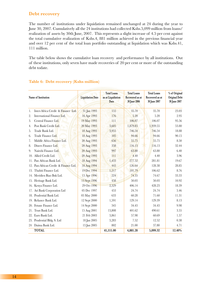#### **Debt recovery**

The number of institutions under liquidation remained unchanged at 24 during the year to June 30, 2007. Cumulatively all the 24 institutions had collected Kshs.5,099 million from loans/ realization of assets by 30th June, 2007. This represents a slight increase of 4.5 per cent against the total cumulative realization of Kshs.4, 881 million achieved in the previous financial year and over 12 per cent of the total loan portfolio outstanding at liquidation which was Kshs.41, 111 million.

The table below shows the cumulative loan recovery and performance by all institutions. Out of these institutions, only seven have made recoveries of 20 per cent or more of the outstanding debt todate.

|     | Name of Institution                   | <b>Liquidation Date</b> | <b>Total Loans</b><br>as at Liquidation<br>Date | <b>Total Loans</b><br>Recovered as at<br><b>30 June 2006</b> | <b>Total Loans</b><br>Recovered as at<br>30 June 2007 | % of Original<br>Original Debt<br>30 June 2007 |
|-----|---------------------------------------|-------------------------|-------------------------------------------------|--------------------------------------------------------------|-------------------------------------------------------|------------------------------------------------|
| 1.  | Inter-Africa Credit & Finance Ltd.    | 31 Jan 1993             | 155                                             | 35.70                                                        | 35.70                                                 | 23.03                                          |
| 2.  | International Finance Ltd.            | 16 Apr 1993             | 176                                             | 5.20                                                         | 5.20                                                  | 2.95                                           |
| 3.  | Central Finance Ltd.                  | 19 May 1993             | 111                                             | 106.07                                                       | 106.07                                                | 95.56                                          |
| 4.  | Post Bank Credit Ltd.                 | 20 May 1993             | 3,605                                           | 1,879.85                                                     | 1,939.55                                              | 53.80                                          |
| 5.  | Trade Bank Ltd.                       | 18 Aug 1993             | 3,955                                           | 746.54                                                       | 746.54                                                | 18.88                                          |
| 6.  | Trade Finance Ltd.                    | 18 Aug 1993             | 105                                             | 94.66                                                        | 94.66                                                 | 90.15                                          |
| 7.  | Middle Africa Finance Ltd.            | 20 Aug 1993             | 656                                             | 55.75                                                        | 55.75                                                 | 8.50                                           |
| 8.  | Diners Finance Ltd.                   | 20 Aug 1993             | 358                                             | 116.13                                                       | 116.13                                                | 32.44                                          |
| 9.  | Nairobi Finance Ltd.                  | 20 Aug 1993             | 997                                             | 63.80                                                        | 63.80                                                 | 6.40                                           |
|     | 10. Allied Credit Ltd.                | 20 Aug 1993             | 111                                             | 4.40                                                         | 4.40                                                  | 3.96                                           |
| 11. | Pan African Bank Ltd.                 | 18 Aug 1994             | 1,433                                           | 277.52                                                       | 281.81                                                | 19.67                                          |
|     | 12. Pan-African Credit & Finance Ltd. | 18 Aug 1994             | 445                                             | 126.64                                                       | 128.38                                                | 28.85                                          |
| 13. | Thabiti Finance Ltd.                  | 19 Dec 1994             | 1,217                                           | 101.79                                                       | 106.62                                                | 8.76                                           |
|     | 14. Meridien Biao Bnk Ltd.            | 15 Apr 1996             | 224                                             | 74.35                                                        | 74.67                                                 | 33.33                                          |
|     | 15. Heritage Bank Ltd.                | 13 Sept 1996            | 458                                             | 50.03                                                        | 50.03                                                 | 10.92                                          |
|     | 16. Kenya Finance Ltd.                | 29 Oct 1996             | 2,329                                           | 406.14                                                       | 428.23                                                | 18.39                                          |
|     | 17. Ari Bank Corporation Ltd          | 05 Dec 1997             | 453                                             | 24.74                                                        | 24.74                                                 | 5.46                                           |
|     | 18. Prudential Bank Ltd.              | 05 May 2000             | 633                                             | 60.28                                                        | 71.60                                                 | 11.31                                          |
|     | 19. Reliance Bank Ltd.                | 12 Sept 2000            | 1,591                                           | 129.14                                                       | 129.39                                                | 8.13                                           |
|     | 20. Fotune Finance Ltd.               | 14 Sept 2000            | 345                                             | 34.43                                                        | 34.43                                                 | 9.98                                           |
| 21. | Trust Bank Ltd.                       | 15 Aug 2001             | 13,808                                          | 401.62                                                       | 490.61                                                | 3.55                                           |
|     | 22. Euro Bank Ltd.                    | 21 Feb 2003             | 3,861                                           | 57.98                                                        | 60.69                                                 | 1.57                                           |
| 23. | Prudential Bldg. S. Ltd               | 18 Jan 2005             | 3,283                                           | 7.52                                                         | 12.52                                                 | 0.38                                           |
| 24  | Daima Bank Ltd.                       | 13 Jun 2005             | 802                                             | 21.00                                                        | 37.80                                                 | 4.71                                           |
|     | <b>TOTAL</b>                          |                         | 41,111.00                                       | 4,881.28                                                     | 5,099.32                                              | 12.40%                                         |

#### **Table 6: Debt recovery (Kshs million)**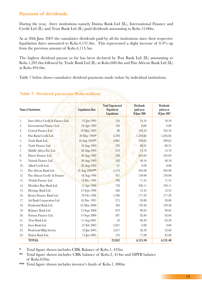#### **Payment of dividends**

During the year, three institutions namely Daima Bank Ltd (IL), International Finance and Credit Ltd (IL) and Trust Bank Ltd (IL) paid dividends amounting to Kshs.12.00m.

As at 30th June 2007 the cumulative dividends paid by all the institutions since their respective liquidation dates amounted to Kshs.4,131.0m. This represented a slight increase of 0.4% up from the previous amount of Kshs.4,113.5m.

The highest dividend payout so far has been declared by Post Bank Ltd (IL) amounting to Kshs.1,285.0m followed by Trade Bank Ltd (IL) at Kshs.600.0m and Pan African Bank Ltd (IL) at Kshs.494.0m.

Table 7 below shows cumulative dividend payments made todate by individual institutions.

|     | Name of Institution                | <b>Liquidation Date</b> | <b>Total Unprotected</b><br>Deposits at<br>Liquidation | <b>Dividends</b><br>paid as at<br>30 June 2006 | <b>Dividends</b><br>paid as at<br>30 June 2007 |
|-----|------------------------------------|-------------------------|--------------------------------------------------------|------------------------------------------------|------------------------------------------------|
| 1.  | Inter-Africa Credit & Finance Ltd. | 31 Jan 1993             | 134                                                    | 14.10                                          | 18.10                                          |
| 2.  | International Finance Ltd.         | 16 Apr 1993             | 166                                                    | 0.00                                           | 0.00                                           |
| 3.  | Central Finance Ltd.               | 19 May 1993             | 96                                                     | 104.10                                         | 104.10                                         |
| 4.  | Post Bank Credit Ltd.              | 20 May 1993*            | 3,784                                                  | 1,284.66                                       | 1,284.66                                       |
| 5.  | Trade Bank Ltd.                    | 18 Aug 1993**           | 3,901                                                  | 599.62                                         | 599.62                                         |
| 6.  | Trade Finance Ltd.                 | 18 Aug 1993             | 195                                                    | 80.23                                          | 80.23                                          |
| 7.  | Middle Africa Fin. Ltd.            | 20 Aug 1993             | 219                                                    | 14.70                                          | 14.70                                          |
| 8.  | Diners Finance Ltd.                | 20 Aug 1993             | 558                                                    | 244.84                                         | 244.84                                         |
| 9.  | Nairobi Finance Ltd.               | 20 Aug 1993             | 183                                                    | 48.10                                          | 48.10                                          |
| 10. | Allied Credit Ltd.                 | 20 Aug 1993             | 67                                                     | 0.00                                           | 0.00                                           |
| 11. | Pan African Bank Ltd.              | 18 Aug 1994***          | 2,314                                                  | 494.00                                         | 494.00                                         |
| 12. | Pan African Credit & Finance       | 18 Aug 1994             | 437                                                    | 130.00                                         | 130.00                                         |
| 13. | Thabiti Finance Ltd.               | 19 Dec 1994             | 796                                                    | 71.45                                          | 71.45                                          |
| 14. | Meridien Biao Bank Ltd.            | 15 Apr 1996             | 758                                                    | 330.11                                         | 330.11                                         |
| 15. | Heritage Bank Ltd.                 | 13 Sept 1996            | 366                                                    | 12.43                                          | 12.43                                          |
| 16. | Kenya Finance Bank Ltd.            | 29 Oct 1996             | 1,396                                                  | 177.29                                         | 177.29                                         |
| 17. | Ari Bank Corporation Ltd.          | 05 Dec 1997             | 275                                                    | 20.80                                          | 20.80                                          |
| 18. | Prudential Bank Ltd.               | 05 May 2000             | 584                                                    | 139.40                                         | 139.40                                         |
| 19. | Reliance Bank Ltd.                 | 12 Sept 2000            | 879                                                    | 90.85                                          | 90.85                                          |
| 20. | Fortune Finance Ltd.               | 14 Sept 2000            | 287                                                    | 92.84                                          | 92.84                                          |
| 21. | Trust Bank Ltd.                    | 15 Aug 2001             | 43                                                     | 60.40                                          | 62.20                                          |
| 22. | Euro Bank Ltd.                     | 21 Feb 2003             | 2,021                                                  | 0.00                                           | 0.00                                           |
| 23. | Prudential Bldg Society            | 18 Jan 2005             | 2,017                                                  | 26.58                                          | 32.68                                          |
| 24. | Daima Bank Ltd.                    | 13 Jun 2005             | 576                                                    | 77.00                                          | 82.00                                          |
|     | <b>TOTAL</b>                       |                         | 22,052                                                 | 4,113.50                                       | 4,131.40                                       |

#### **Table 7: Dividend payments (Kshs million)**

\* Total figure shown includes CBK Balance of Kshs.1, 433m

\*\* Total figure shown includes CBK balance of Kshs.2, 414m and DPFB balance of Kshs.659m

\*\*\* Total figure shown includes investor's funds of Kshs.1, 800m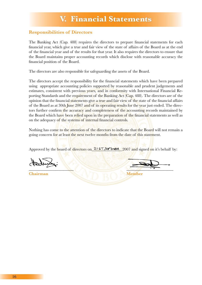### **V. Financial Statements**

#### **Responsibilities of Directors**

The Banking Act (Cap. 488) requires the directors to prepare financial statements for each financial year, which give a true and fair view of the state of affairs of the Board as at the end of the financial year and of the results for that year. It also requires the directors to ensure that the Board maintains proper accounting records which disclose with reasonable accuracy the financial position of the Board.

The directors are also responsible for safeguarding the assets of the Board.

The directors accept the responsibility for the financial statements which have been prepared using appropriate accounting policies supported by reasonable and prudent judgements and estimates, consistent with previous years, and in conformity with International Financial Reporting Standards and the requirement of the Banking Act (Cap. 488). The directors are of the opinion that the financial statements give a true and fair view of the state of the financial affairs of the Board as at 30th June 2007 and of its operating results for the year just ended. The directors further confirm the accuracy and completeness of the accounting records maintained by the Board which have been relied upon in the preparation of the financial statements as well as on the adequacy of the systems of internal financial controls.

Nothing has come to the attention of the directors to indicate that the Board will not remain a going concern for at least the next twelve months from the date of this statement.

Approved by the board of directors on  $21$  ST SeP trues 2007 and signed on it's behalf by:

**Chairman** Member

 $\mathbb{R}$  and  $\mathbb{R}$  and  $\mathbb{R}$  and  $\mathbb{R}$  and  $\mathbb{R}$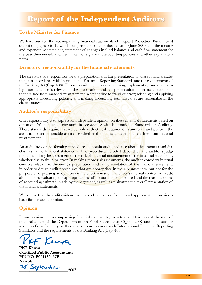#### **To the Minister for Finance**

We have audited the accompanying financial statements of Deposit Protection Fund Board set out on pages 5 to 15 which comprise the balance sheet as at 30 June 2007 and the income and expenditure statement, statement of changes in fund balance and cash flow statement for the year then ended, and a summary of significant accounting policies and other explanatory notes.

#### Directors' responsibility for the financial statements

The directors' are responsible for the preparation and fair presentation of these financial statements in accordance with International Financial Reporting Standards and the requirements of the Banking Act (Cap. 488). This responsibility includes designing, implementing and maintaining internal controls relevant to the preparation and fair presentation of financial statements that are free from material misstatement, whether due to fraud or error; selecting and applying appropriate accounting policies; and making accounting estimates that are reasonable in the circumstances.

#### **Auditor's responsibility**

Our responsibility is to express an independent opinion on these financial statements based on our audit. We conducted our audit in accordance with International Standards on Auditing. Those standards require that we comply with ethical requirements and plan and perform the audit to obtain reasonable assurance whether the financial statements are free from material misstatement.

An audit involves performing procedures to obtain audit evidence about the amounts and disclosures in the financial statements. The procedures selected depend on the auditor's judgment, including the assessment of the risk of material misstatement of the financial statements, whether due to fraud or error. In making those risk assessments, the auditor considers internal controls relevant to the entity's preparation and fair presentation of the financial statements in order to design audit procedures that are appropriate in the circumstances, but not for the purpose of expressing an opinion on the effectiveness of the entity's internal control. An audit also includes evaluating the appropriateness of accounting policies used and the reasonableness of accounting estimates made by management, as well as evaluating the overall presentation of the financial statements.

We believe that the audit evidence we have obtained is sufficient and appropriate to provide a basis for our audit opinion.

#### **Opinion**

In our opinion, the accompanying financial statements give a true and fair view of the state of financial affairs of the Deposit Protection Fund Board as at 30 June 2007 and of its surplus and cash flows for the year then ended in accordance with International Financial Reporting Standards and the requirements of the Banking Act (Cap. 488).

PRF Keng

**PKF Kenya Certified Public Accountants PIN NO. P051130467R Nairobi**

 $25$  September  $_{2007}$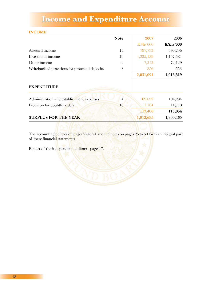# **Income and Expenditure Account**

#### **INCOME**

|                                                | <b>Note</b>    | 2007            | 2006            |
|------------------------------------------------|----------------|-----------------|-----------------|
|                                                |                | <b>KShs'000</b> | <b>KShs'000</b> |
| Assessed income                                | la             | 787,783         | 696,256         |
| Investment income                              | 1 <sub>b</sub> | 1,235,139       | 1,147,581       |
| Other income                                   | $\overline{2}$ | 7,313           | 72,129          |
| Writeback of provisions for protected deposits | 3              | 856             | 553             |
|                                                |                | 2,031,091       | 1,916,519       |
| <b>EXPENDITURE</b>                             |                |                 |                 |
| Administration and establishment expenses      | $\overline{4}$ | 109,622         | 104,284         |
| Provision for doubtful debts                   | 10             | 7,784           | 11,770          |
|                                                |                | 117,406         | 116,054         |
| <b>SURPLUS FOR THE YEAR</b>                    |                | 1,913,685       | 1,800,465       |

The accounting policies on pages 22 to 24 and the notes on pages 25 to 30 form an integral part of these financial statements.

Report of the independent auditors - page 17.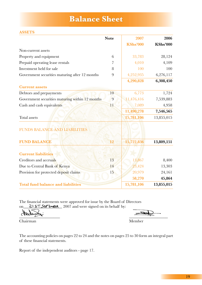# **Balance Sheet**

| _____ | $\sim$ |
|-------|--------|

|                                                 | <b>Note</b> | 2007            | 2006            |
|-------------------------------------------------|-------------|-----------------|-----------------|
|                                                 |             | <b>KShs'000</b> | <b>KShs'000</b> |
| Non-current assets                              |             |                 |                 |
| Property and equipment                          | 6           | 33,783          | 28,124          |
| Prepaid operating lease rentals                 | 7           | 4,010           | 4,109           |
| Investment held for sale                        | 8           | 100             | 100             |
| Government securities maturing after 12 months  | 9           | 4,252,935       | 6,276,117       |
|                                                 |             | 4,290,828       | 6,308,450       |
| <b>Current assets</b>                           |             |                 |                 |
| Debtors and prepayments                         | 10          | 6,773           | 1,724           |
| Government securities maturing within 12 months | 9           | 11,476,416      | 7,539,883       |
| Cash and cash equivalents                       | 11          | 7,089           | 4,958           |
|                                                 |             | 11,490,278      | 7,546,565       |
| Total assets                                    |             | 15,781,106      | 13,855,015      |
|                                                 |             |                 |                 |
| <b>FUNDS BALANCE AND LIA</b>                    |             |                 |                 |
| <b>FUND BALANCE</b>                             | 12          | 15,722,836      | 13,809,151      |
| <b>Current liabilities</b>                      |             |                 |                 |
|                                                 |             |                 |                 |
| Creditors and accruals                          | 13          | 13,867          | 8,400           |
| Due to Central Bank of Kenya                    | 14          | 23,424          | 13,303          |
| Provision for protected deposit claims          | 15          | 20,979          | 24,161          |
|                                                 |             | 58,270          | 45,864          |
| <b>Total fund balance and liabilities</b>       |             | 15,781,106      | 13,855,015      |

The financial statements were approved for issue by the Board of Directors on\_\_\_\_\_\_\_\_\_\_\_\_\_\_\_\_\_\_\_ 2007 and were signed on its behalf by:

 $\frac{1}{\sqrt{1-\frac{1}{2}}}}$ 

Chairman Member

The accounting policies on pages 22 to 24 and the notes on pages 25 to 30 form an integral part of these financial statements.

Report of the independent auditors - page 17.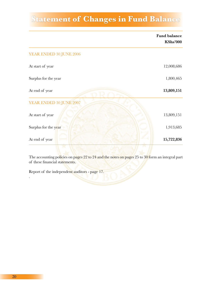# **Statement of Changes in Fund Balance**

|                         | Fund balance<br><b>KShs'000</b> |
|-------------------------|---------------------------------|
| YEAR ENDED 30 JUNE 2006 |                                 |
| At start of year        | 12,008,686                      |
| Surplus for the year    | 1,800,465                       |
| At end of year          | 13,809,151                      |
| YEAR ENDED 30 JUNE 2007 |                                 |
| At start of year        | 13,809,151                      |
| Surplus for the year    | 1,913,685                       |
| At end of year          | 15,722,836                      |

The accounting policies on pages 22 to 24 and the notes on pages 25 to 30 form an integral part of these financial statements.

Report of the independent auditors - page 17.

.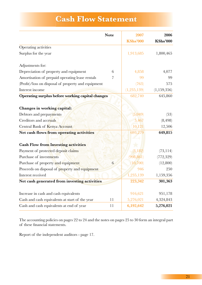## **Cash Flow Statement**

|                                                     | <b>Note</b> | 2007            | 2006            |
|-----------------------------------------------------|-------------|-----------------|-----------------|
|                                                     |             | <b>KShs'000</b> | <b>KShs'000</b> |
| Operating activities                                |             |                 |                 |
| Surplus for the year                                |             | 1,913,685       | 1,800,465       |
| Adjustments for:                                    |             |                 |                 |
| Depreciation of property and equipment              | 6           | 4,858           | 4,077           |
| Amortisation of prepaid operating lease rentals     | 7           | 99              | 99              |
| (Profit)/loss on disposal of property and equipment |             | (763)           | 575             |
| Interest income                                     |             | (1, 235, 139)   | (1, 159, 356)   |
| Operating surplus before working capital changes    |             | 682,740         | 645,860         |
|                                                     |             |                 |                 |
| Changes in working capital:                         |             |                 |                 |
| Debtors and prepayments                             |             | (5,049)         | (53)            |
| Creditors and accruals                              |             | 5,467           | (8, 498)        |
| Central Bank of Kenya Account                       |             | 10,121          | 12,506          |
| Net cash flows from operating activities            |             | 693,279         | 649,815         |
| <b>Cash Flow from Investing activities</b>          |             |                 |                 |
| Payment of protected deposit claims                 |             | (3,182)         | (73, 114)       |
| Purchase of investments                             |             | (998, 861)      | (772, 329)      |
| Purchase of property and equipment                  | 6           | (10, 700)       | (12,800)        |
| Proceeds on disposal of property and equipment      |             | 946             | 250             |
| Interest received                                   |             | 1,235,139       | 1,159,356       |
| Net cash generated from investing activities        |             | 223,342         | 301,363         |
| Increase in cash and cash equivalents               |             | 916,621         | 951,178         |
| Cash and cash equivalents at start of the year      | 11          | 5,276,021       | 4,324,843       |
| Cash and cash equivalents at end of year            | 11          | 6,192,642       | 5,276,021       |

The accounting policies on pages 22 to 24 and the notes on pages 25 to 30 form an integral part of these financial statements.

Report of the independent auditors - page 17.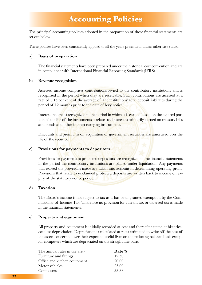# **Accounting Policies**

The principal accounting policies adopted in the preparation of these financial statements are set out below.

These policies have been consistently applied to all the years presented, unless otherwise stated.

#### **a) Basis of preparation**

The financial statements have been prepared under the historical cost convention and are in compliance with International Financial Reporting Standards (IFRS).

#### **b) Revenue recognition**

 Assessed income comprises contributions levied to the contributory institutions and is recognized in the period when they are receivable. Such contributions are assessed at a rate of 0.15 per cent of the average of the institutions' total deposit liabilities during the period of 12 months prior to the date of levy notice.

 Interest income is recognized in the period in which it is earned based on the expired portion of the life of the investments it relates to. Interest is primarily earned on treasury bills and bonds and other interest carrying instruments.

 Discounts and premiums on acquisition of government securities are amortized over the life of the security.

#### **c) Provisions for payments to depositors**

Provisions for payments to protected depositors are recognized in the financial statements in the period the contributory institutions are placed under liquidation. Any payments that exceed the provisions made are taken into account in determining operating profit. Provisions that relate to unclaimed protected deposits are written back to income on expiry of the statutory notice period.

#### **d) Taxation**

 The Board's income is not subject to tax as it has been granted exemption by the Commissioner of Income Tax. Therefore no provision for current tax or deferred tax is made in the financial statements.

#### **e) Property and equipment**

 All property and equipment is initially recorded at cost and thereafter stated at historical cost less depreciation. Depreciation is calculated at rates estimated to write off the cost of the assets concerned over their expected useful lives on the reducing balance basis except for computers which are depreciated on the straight line basis.

| The annual rates in use are:- | $Rate\%$ |
|-------------------------------|----------|
| Furniture and fittings        | 12.50    |
| Office and kitchen equipment  | 20.00    |
| Motor vehicles                | 25.00    |
| Computers                     | 33.33    |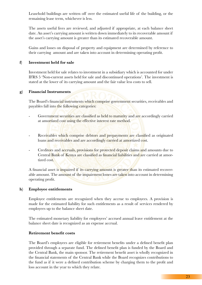Leasehold buildings are written off over the estimated useful life of the building, or the remaining lease term, whichever is less.

The assets useful lives are reviewed, and adjusted if appropriate, at each balance sheet date. An asset's carrying amount is written down immediately to its recoverable amount if the asset's carrying amount is greater than its estimated recoverable amount.

Gains and losses on disposal of property and equipment are determined by reference to their carrying amount and are taken into account in determining operating profit.

#### **f) Investment held for sale**

Investment held for sale relates to investment in a subsidiary which is accounted for under IFRS 5 'Non-current assets held for sale and discontinued operations'. The investment is stated at the lower of its carrying amount and the fair value less costs to sell.

#### **g) Financial Instruments**

The Board's financial instruments which comprise government securities, receivables and payables fall into the following categories:

- Government securities are classified as held to maturity and are accordingly carried at amortized cost using the effective interest rate method.
- Receivables which comprise debtors and prepayments are classified as originated loans and receivables and are accordingly carried at amortized cost.
- Creditors and accruals, provisions for protected deposit claims and amounts due to Central Bank of Kenya are classified as financial liabilities and are carried at amortized cost.

A financial asset is impaired if its carrying amount is greater than its estimated recoverable amount. The amount of the impairment losses are taken into account in determining operating profit.

#### **h) Employee entitlements**

Employee entitlements are recognized when they accrue to employees. A provision is made for the estimated liability for such entitlements as a result of services rendered by employees up to the balance sheet date.

The estimated monetary liability for employees' accrued annual leave entitlement at the balance sheet date is recognized as an expense accrual.

#### **Retirement benefit costs**

The Board's employees are eligible for retirement benefits under a defined benefit plan provided through a separate fund. The defined benefit plan is funded by the Board and the Central Bank, the main sponsor. The retirement benefit asset is wholly recognized in the financial statements of the Central Bank while the Board recognizes contributions to the fund as if it were a defined contribution scheme by charging them to the profit and loss account in the year to which they relate.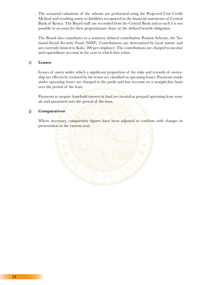The actuarial valuations of the scheme are performed using the Projected Unit Credit Method and resulting assets or liabilities recognized in the financial statements of Central Bank of Kenya. The Board staff are seconded from the Central Bank and as such it is not possible to account for their proportionate share of the defined benefit obligation.

The Board also contributes to a statutory defined contribution Pension Scheme, the National Social Security Fund (NSSF). Contributions are determined by local statute and are currently limited to Kshs. 200 per employee. The contributions are charged to income and expenditure account in the year to which they relate.

#### **i) Leases**

Leases of assets under which a significant proportion of the risks and rewards of ownership are effectively retained by the lessor are classified as operating leases. Payments made under operating leases are charged to the profit and loss account on a straight-line basis over the period of the lease.

Payments to acquire leasehold interest in land are treated as prepaid operating lease rentals and amortized over the period of the lease.

#### **j) Comparatives**

Where necessary, comparative figures have been adjusted to conform with changes in presentation in the current year.

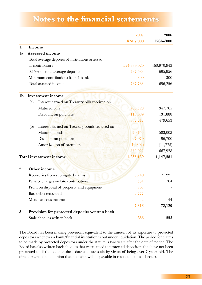### **Notes to the financial statements**

|        |     |                                                 | 2007            | 2006            |
|--------|-----|-------------------------------------------------|-----------------|-----------------|
|        |     |                                                 | <b>KShs'000</b> | <b>KShs'000</b> |
| 1.     |     | Income                                          |                 |                 |
| 1a.    |     | <b>Assessed income</b>                          |                 |                 |
|        |     | Total average deposits of institutions assessed |                 |                 |
|        |     | as contributors                                 | 524,989,020     | 463,970,943     |
|        |     | $0.15\%$ of total average deposits              | 787,483         | 695,956         |
|        |     | Minimum contributions from 1 bank               | 300             | 300             |
|        |     | Total assessed income                           | 787,783         | 696,256         |
| $1b$ . |     | <b>Investment</b> income                        |                 |                 |
|        | (a) | Interest earned on Treasury bills received on   |                 |                 |
|        |     | Matured bills                                   | 438,528         | 347,765         |
|        |     | Discount on purchase                            | 113,689         | 131,888         |
|        |     |                                                 | 552,217         | 479,653         |
|        | (b) | Interest earned on Treasury bonds received on   |                 |                 |
|        |     | Matured bonds                                   | 670,154         | 583,003         |
|        |     | Discount on purchase                            | 27,070          | 96,700          |
|        |     | Amortization of premium                         | (14, 302)       | (11, 775)       |
|        |     |                                                 | 682,922         | 667,928         |
|        |     | Total investment income                         | 1,235,139       | 1,147,581       |
| 2.     |     | Other income                                    |                 |                 |
|        |     | Recoveries from subrogated claims               | 3,240           | 71,221          |
|        |     | Penalty charges on late contributions           | 531             | 764             |
|        |     | Profit on disposal of property and equipment    | 763             |                 |
|        |     | Bad debts recovered                             | 2,777           |                 |
|        |     | Miscellaneous income                            | $\overline{2}$  | 144             |
|        |     |                                                 | 7,313           | 72,129          |
| 3      |     | Provision for protected deposits written back   |                 |                 |
|        |     | Stale cheques written back                      | 856             | 553             |

The Board has been making provisions equivalent to the amount of its exposure to protected depositors whenever a bank/financial institution is put under liquidation. The period for claims to be made by protected depositors under the statute is two years after the date of notice. The Board has also written back cheques that were issued to protected depositors that have not been presented until the balance sheet date and are stale by virtue of being over 7 years old. The directors are of the opinion that no claim will be payable in respect of these cheques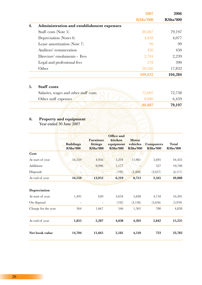|    |                                           | 2007            | 2006            |
|----|-------------------------------------------|-----------------|-----------------|
|    |                                           | <b>KShs'000</b> | <b>KShs'000</b> |
| 4. | Administration and establishment expenses |                 |                 |
|    | Staff costs (Note 5)                      | 80,887          | 79,197          |
|    | Depreciation (Notes 6)                    | 4,858           | 4,077           |
|    | Lease amortization (Note 7)               | 99              | 99              |
|    | Auditors' remuneration                    | 450             | 450             |
|    | Directors' emoluments - Fees              | 2,784           | 2,239           |
|    | Legal and professional fees               | 278             | 390             |
|    | Other                                     | 20,266          | 17,832          |
|    |                                           | 109,622         | 104,284         |
| 5. | <b>Staff</b> costs                        |                 |                 |
|    | Salaries, wages and other staff costs     | 72,007          | 72,738          |
|    | Other staff expenses                      | 8,880           | 6,459           |
|    |                                           | 80,887          | 79,197          |

#### **6. Property and equipment** Year ended 30 June 2007

|                     | <b>Buildings</b><br><b>KShs'000</b> | Furniture<br>fittings<br><b>KShs'000</b> | <b>Office and</b><br>kitchen<br>equipment<br><b>KShs'000</b> | <b>Motor</b><br>vehicles<br><b>KShs'000</b> | <b>Computers</b><br><b>KShs'000</b> | Total<br><b>KShs'000</b> |
|---------------------|-------------------------------------|------------------------------------------|--------------------------------------------------------------|---------------------------------------------|-------------------------------------|--------------------------|
| Cost                |                                     |                                          |                                                              |                                             |                                     |                          |
| At start of year    | 16,559                              | 4,956                                    | 5,234                                                        | 11,981                                      | 5,695                               | 44,425                   |
| Additions           |                                     | 8,996                                    | 1,177                                                        |                                             | 527                                 | 10,700                   |
| Disposals           |                                     |                                          | (192)                                                        | (3, 268)                                    | (2,657)                             | (6, 117)                 |
| At end of year      | 16,559                              | 13,952                                   | 6,219                                                        | 8,713                                       | 3,565                               | 49,008                   |
| Depreciation        |                                     |                                          |                                                              |                                             |                                     |                          |
| At start of year    | 1,491                               | 620                                      | 3,634                                                        | 5,838                                       | 4,718                               | 16,301                   |
| On disposal         |                                     |                                          | (142)                                                        | (3, 136)                                    | (2,656)                             | (5,934)                  |
| Charge for the year | 364                                 | 1,667                                    | 546                                                          | 1,501                                       | 780                                 | 4,858                    |
| At end of year      | 1,855                               | 2,287                                    | 4,038                                                        | 4,203                                       | 2,842                               | 15,225                   |
| Net book value      | 14,704                              | 11,665                                   | 2,181                                                        | 4,510                                       | 723                                 | 33,783                   |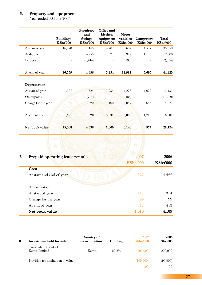#### **6. Property and equipment**

Year ended 30 June 2006

|                     | <b>Buildings</b><br><b>KShs'000</b> | <b>Furniture</b><br>and<br>fittings<br>KShs'000 | Office and<br>kitchen<br>equipment<br><b>KShs'000</b> | Motor<br>vehicles<br>$KShs$ '000 | Computers<br><b>KShs'000</b> | <b>Total</b><br>KShs'000 |
|---------------------|-------------------------------------|-------------------------------------------------|-------------------------------------------------------|----------------------------------|------------------------------|--------------------------|
| At start of year    | 16,278                              | 1,445                                           | 4,707                                                 | 6,652                            | 4,577                        | 33,659                   |
| Additions           | 281                                 | 4,955                                           | 527                                                   | 5,919                            | 1,118                        | 12,800                   |
| Disposals           |                                     | (1, 444)                                        |                                                       | (590)                            |                              | (2,034)                  |
| At end of year      | 16,559                              | 4,956                                           | 5,234                                                 | 11,981                           | 5,695                        | 44,425                   |
| Depreciation        |                                     |                                                 |                                                       |                                  |                              |                          |
| At start of year    | 1,127                               | 724                                             | 3,234                                                 | 4,276                            | 4,072                        | 13,433                   |
| On disposals        |                                     | (724)                                           |                                                       | (485)                            |                              | (1,209)                  |
| Charge for the year | 364                                 | 620                                             | 400                                                   | 2,047                            | 646                          | 4,077                    |
| At end of year      | 1,491                               | 620                                             | 3,634                                                 | 5,838                            | 4,718                        | 16,301                   |
| Net book value      | 15,068                              | 4,336                                           | 1,600                                                 | 6,143                            | 977                          | 28,124                   |

| 7. | Prepaid operating lease rentals | 2007<br><b>KShs'000</b> | 2006<br><b>KShs'000</b> |
|----|---------------------------------|-------------------------|-------------------------|
|    | Cost                            |                         |                         |
|    | At start and end of year        | 4,522                   | 4,522                   |
|    | Amortization                    |                         |                         |
|    | At start of year                | 413                     | 314                     |
|    | Charge for the year             | 99                      | 99                      |
|    | At end of year                  | 512                     | 413                     |
|    | Net book value                  | 4,010                   | 4,109                   |

| 8. | Investment held for sale              | Country of<br>incorporation | Holding  | 2007<br>KShs'000 | 2006<br>KShs'000 |
|----|---------------------------------------|-----------------------------|----------|------------------|------------------|
|    | Consolidated Bank of<br>Kenya Limited | Kenya                       | $50.2\%$ | 200,000          | 200,000          |
|    | Provision for diminution in value     |                             |          | (199,900)        | (199,900)        |
|    |                                       |                             |          | 100              | 100              |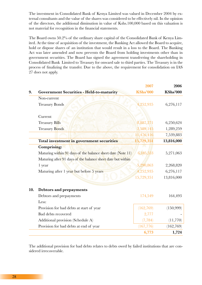The investment in Consolidated Bank of Kenya Limited was valued in December 2004 by external consultants and the value of the shares was considered to be effectively nil. In the opinion of the directors, the additional diminution in value of Kshs.100,000 based on this valuation is not material for recognition in the financial statements.

The Board owns 50.2% of the ordinary share capital of the Consolidated Bank of Kenya Limited. At the time of acquisition of the investment, the Banking Act allowed the Board to acquire, hold or dispose shares of an institution that would result in a loss to the Board. The Banking Act was later amended and now prevents the Board from holding investments other than in government securities. The Board has signed the agreement transferring the shareholding in Consolidated Bank Limited to Treasury for onward sale to third parties. The Treasury is in the process of finalizing the transfer. Due to the above, the requirement for consolidation on IAS 27 does not apply.

|     |                                                             | 2007            | 2006            |
|-----|-------------------------------------------------------------|-----------------|-----------------|
| 9.  | <b>Government Securities - Held-to-maturity</b>             | <b>KShs'000</b> | <b>KShs'000</b> |
|     | Non-current                                                 |                 |                 |
|     | Treasury Bonds                                              | 4,252,935       | 6,276,117       |
|     | Current                                                     |                 |                 |
|     | <b>Treasury Bills</b>                                       | 8,887,271       | 6,250,624       |
|     | <b>Treasury Bonds</b>                                       | 2,589,145       | 1,289,259       |
|     |                                                             | 11,476,416      | 7,539,883       |
|     | Total investment in government securities                   | 15,729,351      | 13,816,000      |
|     | Comprising:                                                 |                 |                 |
|     | Maturing within 91 days of the balance sheet date (Note 11) | 6,185,553       | 5,271,063       |
|     | Maturing after 91 days of the balance sheet date but within |                 |                 |
|     | l year                                                      | 5,290,863       | 2,268,820       |
|     | Maturing after 1 year but before 5 years                    | 4,252,935       | 6,276,117       |
|     |                                                             | 15,729,351      | 13,816,000      |
| 10. | Debtors and prepayments                                     |                 |                 |
|     | Debtors and prepayments                                     | 174,549         | 164,493         |
|     | Less:                                                       |                 |                 |
|     | Provision for bad debts at start of year                    | (162, 769)      | (150, 999)      |
|     | Bad debts recovered                                         | 2,777           |                 |
|     | Additional provision (Schedule A)                           | (7, 784)        | (11, 770)       |
|     | Provision for bad debts at end of year                      | (167, 776)      | (162, 769)      |
|     |                                                             | 6,773           | 1,724           |

The additional provision for bad debts relates to debts owed by failed institutions that are considered irrecoverable.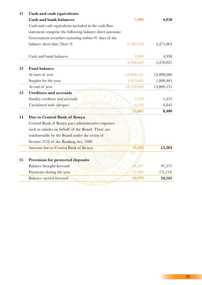| 11 | Cash and cash equivalents                               |            |            |  |  |  |  |
|----|---------------------------------------------------------|------------|------------|--|--|--|--|
|    | <b>Cash and bank balances</b>                           | 7,089      | 4,958      |  |  |  |  |
|    | Cash and cash equivalents included in the cash flow     |            |            |  |  |  |  |
|    | statement comprise the following balance sheet amounts: |            |            |  |  |  |  |
|    | Government securities maturing within 91 days of the    |            |            |  |  |  |  |
|    | balance sheet date (Note 9)                             | 6,185,553  | 5,271,063  |  |  |  |  |
|    | Cash and bank balances                                  | 7,089      | 4,958      |  |  |  |  |
|    |                                                         | 6,192,642  | 5,276,021  |  |  |  |  |
| 12 | <b>Fund balance</b>                                     |            |            |  |  |  |  |
|    | At start of year                                        | 13,809,151 | 12,008,686 |  |  |  |  |
|    | Surplus for the year                                    | 1,913,685  | 1,800,465  |  |  |  |  |
|    | At end of year                                          | 15,722,836 | 13,809,151 |  |  |  |  |
| 13 | <b>Creditors and accruals</b>                           |            |            |  |  |  |  |
|    | Sundry creditors and accruals                           | 7,132      | 1,555      |  |  |  |  |
|    | Unclaimed stale cheques                                 | 6,735      | 6,845      |  |  |  |  |
|    |                                                         | 13,867     | 8,400      |  |  |  |  |
| 14 | Due to Central Bank of Kenya                            |            |            |  |  |  |  |
|    | Central Bank of Kenya pays administrative expenses      |            |            |  |  |  |  |
|    | such as salaries on behalf of the Board. These are      |            |            |  |  |  |  |
|    | reimbursable by the Board under the terms of            |            |            |  |  |  |  |
|    | Section 37(4) of the Banking Act, 1989                  |            |            |  |  |  |  |
|    | Amount due to Central Bank of Kenya                     | 23,424     | 13,303     |  |  |  |  |
| 15 | Provision for protected deposits                        |            |            |  |  |  |  |
|    | Balance brought forward                                 | 24,161     | 97,275     |  |  |  |  |
|    | Payments during the year                                | (3,182)    | (73, 114)  |  |  |  |  |
|    | Balance carried forward                                 | 20,979     | 24,161     |  |  |  |  |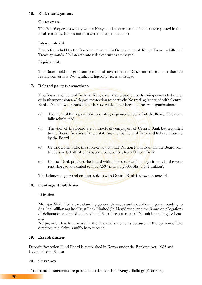#### **16. Risk management**

#### Currency risk

The Board operates wholly within Kenya and its assets and liabilities are reported in the local currency. It does not transact in foreign currencies.

Interest rate risk

Excess funds held by the Board are invested in Government of Kenya Treasury bills and Treasury bonds. No interest rate risk exposure is envisaged.

Liquidity risk

The Board holds a significant portion of investments in Government securities that are readily convertible. No significant liquidity risk is envisaged.

#### **17. Related party transactions**

The Board and Central Bank of Kenya are related parties, performing connected duties of bank supervision and deposit protection respectively. No trading is carried with Central Bank. The following transactions however take place between the two organizations:

- (a) The Central Bank pays some operating expenses on behalf of the Board. These are fully reimbursed.
- (b) The staff of the Board are contractually employees of Central Bank but seconded to the Board. Salaries of these staff are met by Central Bank and fully reimbursed by the Board.
- (c) Central Bank is also the sponsor of the Staff Pension Fund to which the Board contributes on behalf of employees seconded to it from Central Bank.
- (d) Central Bank provides the Board with office space and charges it rent. In the year, rent charged amounted to Shs. 7.537 million (2006: Shs. 5.761 million).

The balance at year-end on transactions with Central Bank is shown in note 14.

#### **18. Contingent liabilities**

**Litigation** 

Mr. Ajay Shah filed a case claiming general damages and special damages amounting to Shs. 144 million against Trust Bank Limited (In Liquidation) and the Board on allegations of defamation and publication of malicious false statements. The suit is pending for hearing.

No provision has been made in the financial statements because, in the opinion of the directors, the claim is unlikely to succeed.

#### **19. Establishment**

Deposit Protection Fund Board is established in Kenya under the Banking Act, 1985 and is domiciled in Kenya.

#### **20. Currency**

The financial statements are presented in thousands of Kenya Shillings (KShs'000).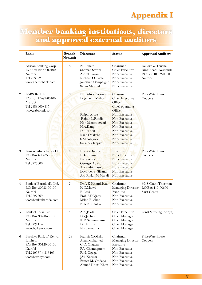

### **Member banking institutions, directors and approved external auditors**

|                | Bank                                                                                                             | <b>Branch</b><br><b>Network</b> | <b>Directors</b>                                                                                                                                                         | <b>Status</b>                                                                                                                                                                                                              | <b>Approved Auditors</b>                                                      |
|----------------|------------------------------------------------------------------------------------------------------------------|---------------------------------|--------------------------------------------------------------------------------------------------------------------------------------------------------------------------|----------------------------------------------------------------------------------------------------------------------------------------------------------------------------------------------------------------------------|-------------------------------------------------------------------------------|
| 1              | African Banking Corp.<br>P.O Box 46452-00100<br>Nairobi<br>Tel 223922<br>www.abcthebank.com                      | 8                               | N.P. Sheth<br>Shamaz Savani<br>Ashraf Savani<br>Richard Omwela<br>Jonathan Campaigne<br>Salim Masoud                                                                     | Chairman<br><b>Chief Executive</b><br>Non-Executive<br>Non-Executive<br>Non-Executive<br>Non-Executive                                                                                                                     | Delloite & Touche<br>Ring Road, Westlands<br>P.O.Box 40092-00100,<br>Nairobi. |
| $\overline{2}$ | EABS Bank Ltd.<br>P.O Box 47499-00100<br>Nairobi<br>Tel 2883000/815<br>www.eabsbank.com                          | 8                               | N.P.Gibson Warren<br>Digvijay B.Mehta<br>Rajpal Arora<br>Rajesh L.Pandit<br>Hon Moody Awori<br>H.A.Damji<br>D.L.Pandit<br>Isaac O.Okero<br>S.M.Ndegwa<br>Surinder Kapila | Chairman<br><b>Chief Executive</b><br>Officer<br><b>Chief</b> operating<br>Officer<br>Non-Executive<br>Non-Executive<br>Non-Executive<br>Non-Executive<br>Non-Executive<br>Non-Executive<br>Non-Executive<br>Non-Executive | PriceWaterhouse<br>Coopers                                                    |
| $\mathfrak{Z}$ | Bank of Africa Kenya Ltd<br>P.O. Box 69562-00400<br>Nairobi<br>Tel 3275000                                       | $\overline{4}$                  | P.Leon-Dufour<br>P.Derreumaux<br>Francis Sueur<br><b>Georges Aballo</b><br>A.Randrianasolo<br>Davinder S. Sikand<br>Alt. Shakir M.Merali                                 | Executive<br><b>Non-Executive</b><br>Non-Executive<br>Non-Executive<br>Non-Executive<br>Non-Executive<br>Non-Executive                                                                                                     | PriceWaterhouse<br>Coopers                                                    |
| $\overline{4}$ | Bank of Baroda (K) Ltd.<br>P.O. Box 30033-00100<br>Nairobi<br>Tel.2227869<br>www.bankofbaroda.com                | 7                               | Dr.A.K Khandelwal<br>K.N.Manvi<br>R.Ravi<br>Prof. F.F Ojany<br>Milan R. Shah<br>K.K.K. Shukla                                                                            | Chairman<br><b>Managing Director</b><br>Executive<br>Non-Executive<br>Non-Executive<br>Non-Executive                                                                                                                       | M/S Grant Thornton<br>P.O.Box 410-00600<br>Sarit Centre                       |
| 5              | Bank of India Ltd.<br>P.O. Box 30246-00100<br>Nairobi<br>Tel.2221414<br>www.boikenya.com                         | $\overline{4}$                  | A.K.Jalota<br>D.V.Jachak<br>K.R.Sahasranaman<br>D.P.Mishra<br>N.K.Samanta                                                                                                | <b>Chief Executive</b><br>Chief Manager<br>Chief Manager<br>Chief Manager<br>Chief Manager                                                                                                                                 | Ernst & Young (Kenya)                                                         |
| 6              | Barclays Bank of Kenya<br>Limited.<br>P.O. Box 30120-00100<br>Nairobi<br>Tel.210577 / 313405<br>www.barclays.com | 128                             | Francis O.Okello<br>Adan Mohamed<br>C.O. Ongwae<br>P.A. Chemngorem<br>R.N. Ogega<br>J.W. Karuku<br>Brown M. Ondego<br>Ahmed Khiza Khan                                   | Chairman<br><b>Managing Director</b><br>Executive<br>Non-Executive<br>Non-Executive<br>Non-Executive<br>Non-Executive<br>Non-Executive                                                                                     | PriceWaterhouse<br>Coopers                                                    |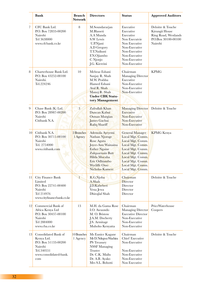|                  | <b>Bank</b>                                                                                                          | <b>Branch</b><br><b>Network</b> | <b>Directors</b>                                                                                                                                                                                            | <b>Status</b>                                                                                                                                                                                       | <b>Approved Auditors</b>                                                                      |
|------------------|----------------------------------------------------------------------------------------------------------------------|---------------------------------|-------------------------------------------------------------------------------------------------------------------------------------------------------------------------------------------------------------|-----------------------------------------------------------------------------------------------------------------------------------------------------------------------------------------------------|-----------------------------------------------------------------------------------------------|
| $\overline{7}$   | CFC Bank Ltd.<br>P.O. Box 72833-00200<br>Nairobi<br>Tel 3638000<br>www.cfcbank.co.ke                                 | 8                               | M.Soundararjan<br>M.Blasseti<br>A.A Munda<br>S.W Lewis<br>U.P.Njani<br>A.D Gregory<br>T.T.Naikuni<br>F.N.Ojiambo<br>C Njonjo<br>J.G. Kiereini                                                               | Executive<br>Executive<br>Executive<br>Non Executvie<br>Non Executive<br>Non-Executive<br>Non-Executive<br>Non-Executive<br>Non-Executive<br>Non-Executive                                          | Deloitte & Touche<br>Kirungii House<br>Ring Road, Westlands<br>P.O.Box 30100-00100<br>Nairobi |
| 8                | Charterhouse Bank Ltd.<br>P.O. Box 43252-00100<br>Nairobi.<br>Tel.224246                                             | 10                              | Mehraz Eshani<br>Sanjay R. Shah<br>M.W. Prabhu<br>Hamed Eshani<br>Atul R. Shah<br>Manoj R. Shah<br><b>Under CBK Statu-</b><br>tory Management                                                               | Chairman<br>Managing Director<br>Executive<br>Non-Executive<br>Non-Executive<br>Non-Executive                                                                                                       | <b>KPMG</b>                                                                                   |
| $\boldsymbol{9}$ | Chase Bank (K) Ltd.<br>P.O. Box 28987-00200<br>Nairobi<br>Citibank N.A.                                              | $\overline{3}$                  | Zafrullah Khan<br>Duncan Kabui<br><b>Osman Murgian</b><br>James Gachui<br><b>Rafiq Shariff</b>                                                                                                              | <b>Managing Director</b><br>Executive<br>Non-Executive<br>Non-Executive<br>Non-Executive                                                                                                            | Deloitte & Touche                                                                             |
| 10 <sup>1</sup>  | Citibank N.A.<br>P.O. Box 30711-00100<br>Nairobi<br>Tel. 2754000<br>www.citibank.com                                 | 2 Branches<br>1 Agency          | Ademola Ayeyemi<br>Nathan Njoroge<br><b>Rose Agutu</b><br>Joyce-Ann Wainaina<br><b>Esther Ngaine</b><br>Zulquarnain Butt<br>Hilda Mucuha<br>Eric Odhiambo<br><b>Wycliffe Osso</b><br><b>Nicholas Kamere</b> | General Manager<br>Local Mgt. Comm.<br>Local Mgt. Comm.<br>Local Mgt. Comm.<br>Local Mgt. Comm.<br>Local Mgt. Comm.<br>Local Mgt. Comm.<br>Local Mgt. Comm.<br>Local Mgt. Comm.<br>Local Mgt. Comm. | <b>KPMG</b> Kenya                                                                             |
| 11               | City Finance Bank<br>Limited<br>P.O. Box 22741-00400<br>Nairobi<br>Tel 214976<br>www.cityfinancebank.co.ke           |                                 | R.G.Njoba<br>A.Shah<br>J.D.Kabeberi<br>Vena Jewa<br>Dhirajlal Shah                                                                                                                                          | Chairman<br>Director<br>Director<br>Director<br>Director                                                                                                                                            | Deloitte & Touche                                                                             |
| 12               | Commercial Bank of<br>Africa Kenya Ltd<br>P.O. Box 30437-00100<br>Nairobi<br>Tel 2884000<br>www.cba.co.ke            | 13                              | M.H. da Gama Rose<br>I.O. Awuondo<br>M. O. Bristow<br>J.A.M. Docherty<br>J.S. Armitage<br>Muhoho Kenyatta                                                                                                   | Chairman<br><b>Managing Director</b><br><b>Executive Director</b><br>Non-Executive<br>Non-Executive<br>Non-Executive                                                                                | PriceWaterhouse<br>Coopers                                                                    |
| 13               | Consolidated Bank of<br>Kenya Ltd.<br>P.O. Box 51133-00200<br>Nairobi<br>Tel.340551<br>www.consolidated-bank.<br>com | 10 Branches<br>1 Agency         | Ms Eunice Kagane<br>Mr D. Ndegwa Wachira<br>PS Treasury<br><b>NSSF</b> Managing<br><b>Trustee</b><br>Dr. C.K. Mailu<br>Dr. A.B. Ayako<br>Mrs S.L. Bobotti                                                   | Chairman<br><b>Chief Executive</b><br>Non-Executive<br>Non-Executive<br>Non-Executive<br>Non-Executive<br>Non Executive                                                                             | Deloitte & Touche                                                                             |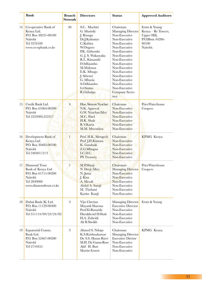|    | <b>Bank</b>                                                                                                     | <b>Branch</b><br><b>Network</b> | <b>Directors</b>                                                                                                                                                                                                                                          | <b>Status</b>                                                                                                                                                                                                                                                                                                       | <b>Approved Auditors</b>                                                                   |
|----|-----------------------------------------------------------------------------------------------------------------|---------------------------------|-----------------------------------------------------------------------------------------------------------------------------------------------------------------------------------------------------------------------------------------------------------|---------------------------------------------------------------------------------------------------------------------------------------------------------------------------------------------------------------------------------------------------------------------------------------------------------------------|--------------------------------------------------------------------------------------------|
| 14 | Co-operative Bank of<br>Kenya Ltd.<br>P.O. Box 48231-00100<br>Nairobi<br>Tel 3276100<br>www.co-opbank.co.ke     | 38                              | S.C. Muchiri<br>G. Muriuki<br>J. Riungu<br>Dr.J.Kahunyo<br>C.Kabira<br>W.Ongoro<br>P.K. Githendu<br>G.J. S. Wakasyaka<br>R.L. Kimanthi<br><b>F.Odhiambo</b><br>M.Malonza<br>E.K. Mbogo<br>J. Sitienei<br>G. Mburia<br>S.Odhiambo<br>G.Omino<br>R.Githaiga | Chairman<br><b>Managing Director</b><br>Non-Executive<br>Non-Executive<br>Non-Executive<br>Non-Executive<br>Non-Executive<br>Non-Executive<br>Non-Executive<br>Non-Executive<br>Non-Executive<br>Non-Executive<br>Non-Executive<br>Non-Executive<br>Non-Executive<br>Non-Executive<br><b>Company Secre-</b><br>tary | Ernst & Young<br>Kenya - Re Towers,<br>Upper Hill,<br>P.O.Bbox 44286-<br>00100<br>Nairobi. |
| 15 | Credit Bank Ltd.<br>P.O. Box 61064-00200<br>Nairobi<br>Tel 2223000,222317                                       | $\overline{4}$                  | Hon. Simeon Nyachae<br>N.K. Agarwal<br>G.W. Nyachae(Mrs)<br>M.C. Patel<br>H.K. Shah<br>R.V.Karia<br>M.M. Mwendwa                                                                                                                                          | Chairman<br>Non-Executive<br>Non-Executive<br>Non-Executive<br>Non-Executive<br>Non-Executive<br>Non-Executive                                                                                                                                                                                                      | PriceWaterhouse<br>Coopers                                                                 |
| 16 | Development Bank of<br>Kenya Ltd.<br>P.O. Box 30483-00100<br>Nairobi<br>Tel 340401/2/3                          |                                 | Prof. H.K. Mengech<br>Prof J.H.Kimura<br>K. Gatabaki<br>Z.G.Mbugua<br>I.C.D.C.<br><b>PS Treasury</b>                                                                                                                                                      | Chairman<br>Non-Executive<br>Non-Executive<br>Non-Executive<br>Non-Executive<br>Non-Executive                                                                                                                                                                                                                       | <b>KPMG</b> Kenya                                                                          |
| 17 | Diamond Trust<br>Bank of Kenya Ltd.<br>P.O. Box 61711-00200<br>Nairobi<br>Tel 2849000<br>www.diamondtrust.co.ke | 7                               | M.P.Manji<br>N. Devji (Mrs)<br>N. Juma<br>J. Kisa<br>A. Merali<br>Abdul A. Samji<br>M. Thobani<br>Karim Kanji                                                                                                                                             | Chairman<br>Managing Director<br>Non-Executive<br>Non-Executive<br>Non-Executive<br>Non-Executive<br>Non-Executive<br>Non-Executive                                                                                                                                                                                 | PriceWaterhouse<br>Coopers                                                                 |
| 18 | Dubai Bank (K) Ltd.<br>P.O. Box 11129-00400<br>Nairobi<br>Tel 311114/09/23/24/82                                | 3                               | Viju Cherian<br>Mayank Sharma<br>Prof.El-Bussaidy<br>Harakhcnd D.Shah<br>H.A. Zubeidi<br>Ali B.Sheikh                                                                                                                                                     | <b>Managing Director</b><br><b>Executive Director</b><br>Non-Executive<br>Non-Executive<br>Non-Executive<br>Non-Executive                                                                                                                                                                                           | Ernst & Young                                                                              |
| 19 | Equatorial Comm.<br>Bank Ltd.<br>P.O. Box 52467-00200<br>Nairobi<br>Tel 2710455                                 | 3                               | Ahmed S. Ndope<br>K.S.Krishnakumar<br>Dr. S.S. Hasan Rizvi<br>M.H. Da Gama-Rose<br>Akif H. Butt<br><b>Martin Ernest</b>                                                                                                                                   | Chairman<br><b>Managing Director</b><br><b>Executive Diretor</b><br>Non-Executive<br>Non-Executive<br>Non-Executive                                                                                                                                                                                                 | KPMG Kenya                                                                                 |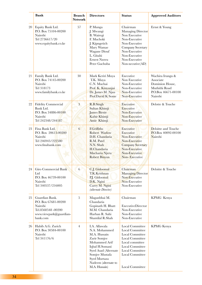|    | <b>Bank</b>                                                                                                  | <b>Branch</b><br><b>Network</b> | <b>Directors</b>                                                                                                                                                                                     | <b>Status</b>                                                                                                                                                                         | <b>Approved Auditors</b>                                                                            |
|----|--------------------------------------------------------------------------------------------------------------|---------------------------------|------------------------------------------------------------------------------------------------------------------------------------------------------------------------------------------------------|---------------------------------------------------------------------------------------------------------------------------------------------------------------------------------------|-----------------------------------------------------------------------------------------------------|
| 20 | Equity Bank Ltd.<br>P.O. Box 75104-00200<br>Nairobi<br>Tel 2736617/20<br>www.equitybank.co.ke                | 57                              | P. Munga<br>J. Mwangi<br>B. Wairegi<br>F. Muchoki<br>J. Kipngetich<br>Mary Wamae<br>Wagane Diouf<br>L. Gitahi<br>Ernest Nzovu<br>Peter Gachuba                                                       | Chairman<br>Managing Director<br>Non Executive<br>Non-Executive<br>Non-Executive<br>Company Secretary<br>Non-Executive<br>Non-Executive<br>Non-Executive<br>Non-xecutive(AD)          | Ernst & Young                                                                                       |
| 21 | Family Bank Ltd.<br>P.O. Box 74145-00200<br>Nairobi<br>Tel 318173<br>www.familybank.co.ke                    | 30                              | Mark Keriri Muya<br>T.K. Muya<br>C.N. Muchai<br>Prof. K. Kinyanjui<br>Dr. James M. Njau<br>Prof.David K Some                                                                                         | Executive<br>Non Executive<br>Non-Executive<br>Non-Executive<br>Non-Executive<br>Non-Executive                                                                                        | Wachira Irungu &<br>Associate<br>Dominion House,<br>Muthithi Road<br>P.O.Box 46671-00100<br>Nairobi |
| 22 | <b>Fidelity Commercial</b><br>Bank Ltd.<br>P.O. Box 34886-00100<br>Nairobi<br>Tel 242348/244187              | 3                               | R.B.Singh<br>Sultan Khimji<br>James Birnie<br>Kabir Khimji<br>Amir Khimji                                                                                                                            | Executive<br>Executive<br>Non-Executive<br>Non-Executive<br>Non-Executive                                                                                                             | Delotte & Touche                                                                                    |
| 23 | Fina Bank Ltd.<br>P.O. Box 20613-00200<br>Nairobi<br>Tel 246943/222580<br>www.finabank.com                   | 6                               | <b>F.Griffiths</b><br><b>Robert Warlow</b><br>D.H. Chandaria<br>R.M. Patel<br>N.N. Shah<br>H.Chandaria<br>Macharia Njeru<br><b>Robert Binyon</b>                                                     | Executive<br>Executive<br>Non-Executive<br>Non-Executive<br><b>Company Secretary</b><br>Non-Executive<br>Non-Executive<br>Non-Executive                                               | Deloitte and Touche<br>P.O.Box 40092-00100<br>Nairobi                                               |
| 24 | Giro Commercial Bank<br>Ltd<br>P.O. Box 46739-00100<br>Nairobi<br>Tel 340537/216005                          | 6                               | C.J. Gidoomal<br>T.K.Krishnan<br>P.J. Gidoomal<br>D.K. Ngini<br>Carey M. Ngini<br>(alternate Director)                                                                                               | Chairman<br><b>Managing Director</b><br>Non-Executive<br>Non-Executive<br>Non-Executive                                                                                               | Deloitte & Touche                                                                                   |
| 25 | Guardian Bank.<br>P.O. Box 67681-00200<br>Nairobi<br>Tel.8560548-00200<br>www.viewpark@guardian-<br>bank.com | $\overline{5}$                  | Maganbhai M.<br>Chandaria<br>Gopinath H. Bhatt<br>M.M. Chandaria<br>Harban R. Sahi<br>Shantilal R.Shah                                                                                               | Chairman<br><b>ExecutiveDirector</b><br>Non-Executive<br>Non-Executive<br>Non-Executive                                                                                               | KPMG Kenya                                                                                          |
| 26 | Habib A.G. Zurich<br>P.O. Box 30584-00100<br>Nairobi<br>Tel 341176/6                                         | $\overline{4}$                  | I.A. Allawala<br>N.A. Mohammed<br>M.A. Hussain<br>Zarir Somjee<br>Mohammed Arif<br>Iqbal H.Somani<br>Syed Asad (Alternate<br>Somjee Mustafa<br>Syed Murtaza<br>Nadeem (alternate to<br>M.A. Hussain) | <b>Local Committee</b><br><b>Local Committee</b><br>Local Committee<br>Local Committee<br>Local committee<br>Local Committee<br>Local Committee<br>Local Committee<br>Local Committee | <b>KPMG</b> Kenya                                                                                   |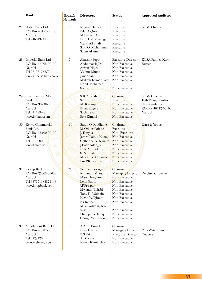|                 | <b>Bank</b>                                                                                            | <b>Branch</b><br><b>Network</b> | <b>Directors</b>                                                                                                                                                                                                                                | <b>Status</b>                                                                                                                                                                                                  | <b>Approved Auditors</b>                                                              |
|-----------------|--------------------------------------------------------------------------------------------------------|---------------------------------|-------------------------------------------------------------------------------------------------------------------------------------------------------------------------------------------------------------------------------------------------|----------------------------------------------------------------------------------------------------------------------------------------------------------------------------------------------------------------|---------------------------------------------------------------------------------------|
| 27              | Habib Bank Ltd.<br>P.O. Box 43157-00100<br>Nairobi<br>Tel 246613/41                                    | $\mathfrak{Z}$                  | Rizwan Haider<br><b>Bilal A Qureshi</b><br>M.Haseed Ali<br>Patrick M.Mwangi<br>Wajid Ali Shah<br>Said O. Mohammed<br>Salim Al Amin                                                                                                              | Executive<br>Executive<br>Executive<br>Executive<br>Executive<br>Executive<br>Executive                                                                                                                        | <b>KPMG</b> Kenya                                                                     |
| 28              | Imperial Bank Ltd.<br>P.O. Box 44905-00100<br>Nairobi<br>Tel 2719617/8/9<br>www.imperialbank.co.ke     | $\overline{7}$                  | Alnashir Popat<br>Abdulmalek J.M<br>Anwar Hajee<br>Vishnu Dhutia<br>Jinit Shah<br>Mukesh Kumar Patel<br>Hanif Mohamed<br>Somji                                                                                                                  | <b>Executive Director</b><br>Non-Executive<br>Non-Executive<br>Non-Executive<br>Non-Executive<br>Non-Executive<br>Non-Executive                                                                                | <b>KLSA Pannell Kerr</b><br>Forster                                                   |
| 29              | Investments & Mort.<br>Bank Ltd.<br>P.O. Box 30238-00100<br>Nairobi<br>Tel 2711994-8<br>www.imbank.com | 10                              | S.B.R. Shah<br>Sarit Shah<br>M. Karanja<br><b>Brian Rogers</b><br>Sachit Shah<br>Eric Kimani                                                                                                                                                    | Chairman<br><b>Executive</b><br>Non-Executive<br>Non-Executive<br>Non-Executive<br>Non-Executive                                                                                                               | KPMG Kenya<br>16th Floor, Lonrho<br>Hse Standard st<br>P.O.Box 40612-00100<br>Nairobi |
| 30 <sup>°</sup> | Kenya Commercial<br>Bank Ltd.<br>P.O. Box 48400-00100<br>Nairobi<br>Tel 3270000<br>www.kcb.co.ke       | 119                             | Susan O. Mudhune<br>M.Oduor-Otieno<br>J. Kinyua<br>James Nairuti Koome<br>Catherine N. Kimura<br>J.Isaac Adongo<br>P. W. Muthoka<br>S. N. Shah<br>Mrs. S. N. Omanga<br>Pro.P.K. Kimuyu                                                          | Chairman<br><b>Executive</b><br><b>Non-Executive</b><br>Non-Executive<br>Non-Executive<br>Non-Executive<br>Non-Executive<br>Non-Executive<br>Non-Executive<br>Non-Executive                                    | Ernst & Young                                                                         |
| 31              | K-Rep Bank Ltd<br>P.O. Box 25363-00603<br>Nairobi<br>Tel 3871511/3873148<br>www.k-repbank.com          | 24                              | <b>Bethuel Kiplagat</b><br>Kimanthi Mutua<br>Mary Houghton<br><b>Leon Smith</b><br>J.P.Prosper<br>Mwenda Thiribi<br>Tony K. Wainaina<br>Kevin W.Njiraini<br>F. Streppel<br>M.V. Golstein, Brou-<br>wers<br>Philippe Leclercq<br>George W. Okado | Chairman<br><b>Managing Director</b><br>Non-Executive<br>Non-Executive<br>Non-Executive<br>Non-Executive<br>Non-Executive<br>Non-Executive<br>Non-Executive<br>Non-Executive<br>Non-Executive<br>Non-Executive | Deloitte & Touche                                                                     |
| 32              | Middle East Bank Ltd.<br>P.O. Box 47387-00100<br>Nairobi<br>Tel 2723120<br>www.mebkenya.com            | $\overline{2}$                  | A.A.K. Esmail<br>Peter Harris<br>B.S.Pai<br>A.D. Raja<br>Nancy Kaminchia                                                                                                                                                                        | Chairman<br><b>Managing Director</b><br><b>Executive Director</b><br>Non-Executive<br>Non-Executive                                                                                                            | PriceWaterhouse<br>Coopers                                                            |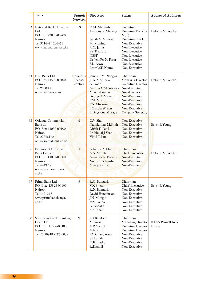|    | <b>Bank</b>                                                                                                                 | <b>Branch</b><br><b>Network</b>    | <b>Directors</b>                                                                                                                                                                     | <b>Status</b>                                                                                                                                                                                      | <b>Approved Auditors</b>            |
|----|-----------------------------------------------------------------------------------------------------------------------------|------------------------------------|--------------------------------------------------------------------------------------------------------------------------------------------------------------------------------------|----------------------------------------------------------------------------------------------------------------------------------------------------------------------------------------------------|-------------------------------------|
| 33 | National Bank of Kenya<br>Ltd.<br>P.O. Box 72866-00200<br>Nairobi<br>Tel 311444/226471<br>www.nationalbank.co.ke            | 23                                 | R.M. Marambii<br>Anthony K.Mwangi<br>Isaiah M.Mworia<br>M. Muhindi<br>A.C. Juma<br>PS Treasury<br><b>NSSF</b><br>Dr Jeniffer N. Riria<br>F.L. Atwoli<br>Peter W.D.Ngumi              | Executive<br>Executive(Dir Risk<br>Mgt.<br>Executive (Fin Dir)<br>Non-Executive<br>Non Executive<br>Non Executive<br>Non Executive<br>Non Executive<br>Non Executive<br>Non-Executive              | Deloitte & Touche                   |
| 34 | NIC Bank Ltd<br>P.O. Box 44599-00100<br>Nairobi<br>Tel 2888000<br>www.nic-bank.com                                          | 6 branches<br>8 service<br>centres | James P. M. Ndegwa<br>J. W. Macharia<br>A. Dodd<br>Andrew S.M.Ndegwa<br>Mike L.Somen<br>George A.Maina<br>F.M. Mbiru<br>F.N. Mwanzia<br>I Ochola Wilson<br><b>Livingstone Murage</b> | Chairman<br><b>Managing Director</b><br><b>Executive Director</b><br>Non-Executive<br>Non-Director<br>Non-Executive<br>Non-Executive<br>Non-Executive<br>Non-Executive<br><b>Company Secretary</b> | Deloitte & Touche                   |
| 35 | <b>Oriental Commercial</b><br>Bank ltd.<br>P.O. Box 44080-00100<br>Nairobi<br>Tel 228461/2<br>www.orientalbank.co.ke        | $\overline{4}$                     | G.V. Shah<br>Nalinkumar M.Shah<br><b>Girish K.Patel</b><br>Prabhulal J.Shah<br><b>Vipul T.Patel</b>                                                                                  | Non-Executive<br>Non-Executive<br>Non-Executive<br>Non-Executive<br>Non-Executive                                                                                                                  | Ernst & Young                       |
| 36 | Paramount Universal<br><b>Bank Limited</b><br>P.O. Box 14001-00800<br>Nairobi<br>Tel 4449266<br>www.paramountbank.<br>co.ke | $\overline{4}$                     | Bahadur Alibhai<br>A.A. Merali<br>Anwarali N. Padany<br>Noorez Padamshi<br>Mercy Kamau                                                                                               | Chairman<br><b>Chief Executive</b><br>Non-Executive<br>Non-Executive<br>Non-Executve                                                                                                               | Deloitte & Touche                   |
| 37 | Prime Bank Ltd.<br>P.O. Box 43825-00100<br>Nairobi<br>Tel.4451247<br>www.primebankkenya.<br>co.ke                           | 9                                  | R.C. Kantaria<br><b>V.K Shetty</b><br>R.N. Kantaria<br>David Hutchinson<br>J.N. Mungai<br>V.N. Ponda<br>A. Abdalla<br>S.K. Shah                                                      | Chairman<br><b>Chief Executive</b><br>Non-Executive<br>Non-Executive<br>Non-Executive<br>Non-Executive<br>Non-Executive<br>Non-Executive                                                           | Ernst & Young                       |
| 38 | Sourthern Credit Banking<br>Corp. Ltd.<br>P.O. Box 11666-00400<br>Nairobi<br>Tel. 2220948 / 2220039                         | 9                                  | J.C Bamford<br>M Kuria<br>A.R.Yousuf<br>A.K.Kurji<br>P.C.Chandarana<br>S.H.Shah<br>R.K.Blasky<br>R.Kemoli                                                                            | Chairman<br><b>Managing Director</b><br><b>Executive Director</b><br><b>Executive Director</b><br>Non-Executive<br>Non-Executive<br>Non-Executive<br>Non-Executive                                 | <b>KLSA Pannell Kerr</b><br>Forster |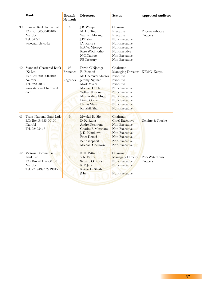|    | <b>Bank</b>                                                                                                                      | <b>Branch</b><br><b>Network</b>     | <b>Directors</b>                                                                                                                                                                                   | <b>Status</b>                                                                                                                                                                     | <b>Approved Auditors</b>   |
|----|----------------------------------------------------------------------------------------------------------------------------------|-------------------------------------|----------------------------------------------------------------------------------------------------------------------------------------------------------------------------------------------------|-----------------------------------------------------------------------------------------------------------------------------------------------------------------------------------|----------------------------|
| 39 | Stanbic Bank Kenya Ltd.<br>P.O Box 30550-00100<br>Nairobi<br>Tel. 342771<br>www.stanbic.co.ke                                    | $\overline{4}$                      | J.B. Wanjui<br>M. Du Toit<br>Wanjiru Mwangi<br>J.P.Babsa<br>J.Y. Kerrets<br>E.A.W. Njoroge<br>Rose W.Kimotho<br>N.G.Naidoo<br>PS Treasury                                                          | Chairman<br>Executive<br>Executive<br>Non-Executive<br>Non-Executive<br>Non-Executive<br>Non-Excutive<br>Non-Executive<br>Non-Executive                                           | Pricewaterhouse<br>Coopers |
| 40 | <b>Standard Chartered Bank</b><br>$(K)$ Ltd.<br>P.O Box 30003-00100<br>Nairobi<br>Tel. 32093000<br>www.standardchartered.<br>com | 28<br><b>Branches</b><br>2 agencies | David G.Njoroge<br>R. Etemesi<br>Ms Chemutai Murgor<br>Jeremy Ngunze<br>Mark Myers<br>Michael C. Hart<br><b>Wilfred Kiboro</b><br>Mrs Jackline Mugo<br>David Godwin<br>Harris Mule<br>Kaushik Shah | Chairman<br><b>Managing Director</b><br>Executive<br>Executive<br>Executive<br>Non-Executive<br>Non-Executive<br>Non-Executive<br>Non-Executive<br>Non-Executive<br>Non-Executive | KPMG Kenya                 |
| 41 | Trans-National Bank Ltd.<br>P.O. Box 34353-00100<br>Nairobi<br>Tel. 224234/6                                                     | 9                                   | Mwakai K. Sio<br>D. K. Rana<br><b>Andre Desimone</b><br><b>Charles F. Marsham</b><br>J. K. Kenduiwo<br>Peter Kemei<br><b>Ben Chepkoit</b><br>Michael Cherwon                                       | Chairman<br><b>Chief Executive</b><br>Non-Executive<br>Non-Executive<br>Non-Executive<br>Non-Executive<br>Non-Executive<br>Non-Executive                                          | Deloitte & Touche          |
| 42 | Victoria Commercial<br>Bank Ltd.<br>P.O. Box 41114 -00100<br>Nairobi<br>Tel. 2719499/2719815                                     |                                     | K.D. Pattni<br>Y.K. Pattni<br>Silvano O. Kola<br>K.P. Jani<br>Ketaki D. Sheth<br>(Mrs)                                                                                                             | Chairman<br><b>Managing Director</b><br>Non-Executive<br>Non-Executive<br>Non-Executive                                                                                           | PriceWaterhouse<br>Coopers |